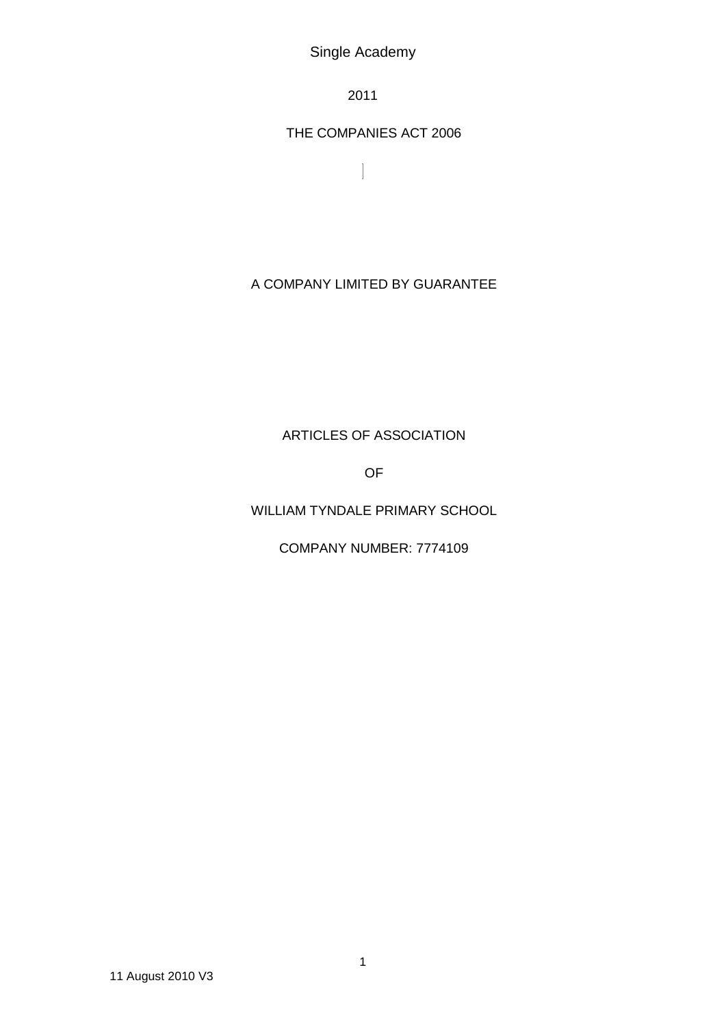Single Academy

2011

THE COMPANIES ACT 2006

 $\overline{\phantom{a}}$ 

# A COMPANY LIMITED BY GUARANTEE

# ARTICLES OF ASSOCIATION

OF

# WILLIAM TYNDALE PRIMARY SCHOOL

COMPANY NUMBER: 7774109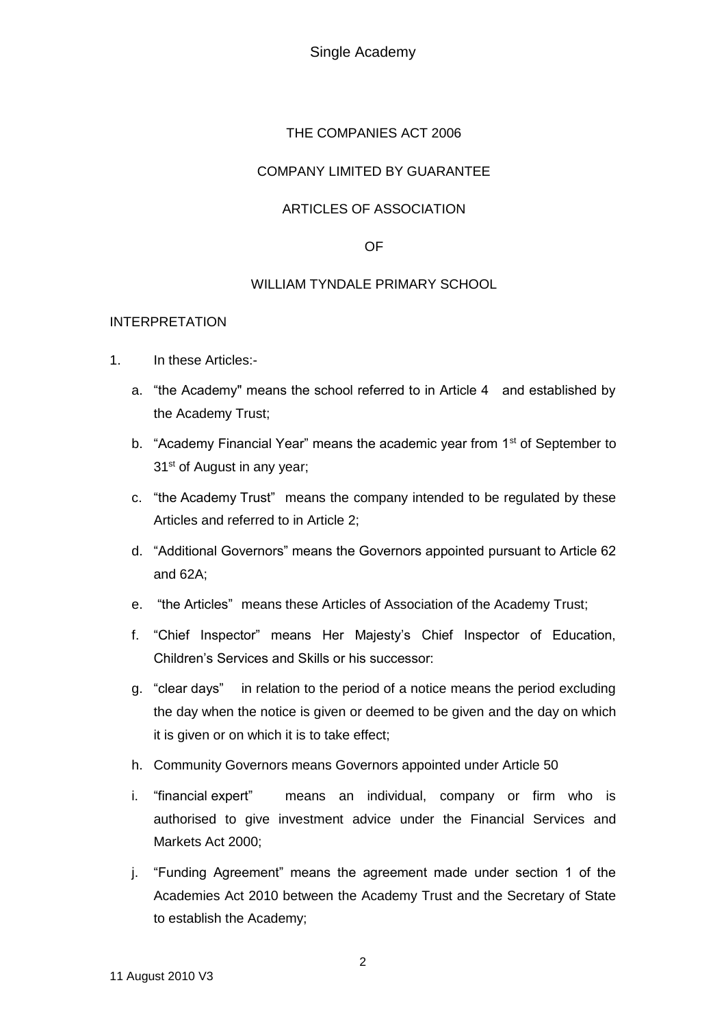Single Academy

### THE COMPANIES ACT 2006

### COMPANY LIMITED BY GUARANTEE

### ARTICLES OF ASSOCIATION

### OF

### WILLIAM TYNDALE PRIMARY SCHOOL

### INTERPRETATION

- 1. In these Articles:
	- a. "the Academy" means the school referred to in Article 4 and established by the Academy Trust;
	- b. "Academy Financial Year" means the academic year from 1<sup>st</sup> of September to 31<sup>st</sup> of August in any year;
	- c. "the Academy Trust" means the company intended to be regulated by these Articles and referred to in Article 2;
	- d. "Additional Governors" means the Governors appointed pursuant to Article 62 and 62A;
	- e. "the Articles" means these Articles of Association of the Academy Trust;
	- f. "Chief Inspector" means Her Majesty's Chief Inspector of Education, Children's Services and Skills or his successor:
	- g. "clear days" in relation to the period of a notice means the period excluding the day when the notice is given or deemed to be given and the day on which it is given or on which it is to take effect;
	- h. Community Governors means Governors appointed under Article 50
	- i. "financial expert" means an individual, company or firm who is authorised to give investment advice under the Financial Services and Markets Act 2000;
	- j. "Funding Agreement" means the agreement made under section 1 of the Academies Act 2010 between the Academy Trust and the Secretary of State to establish the Academy;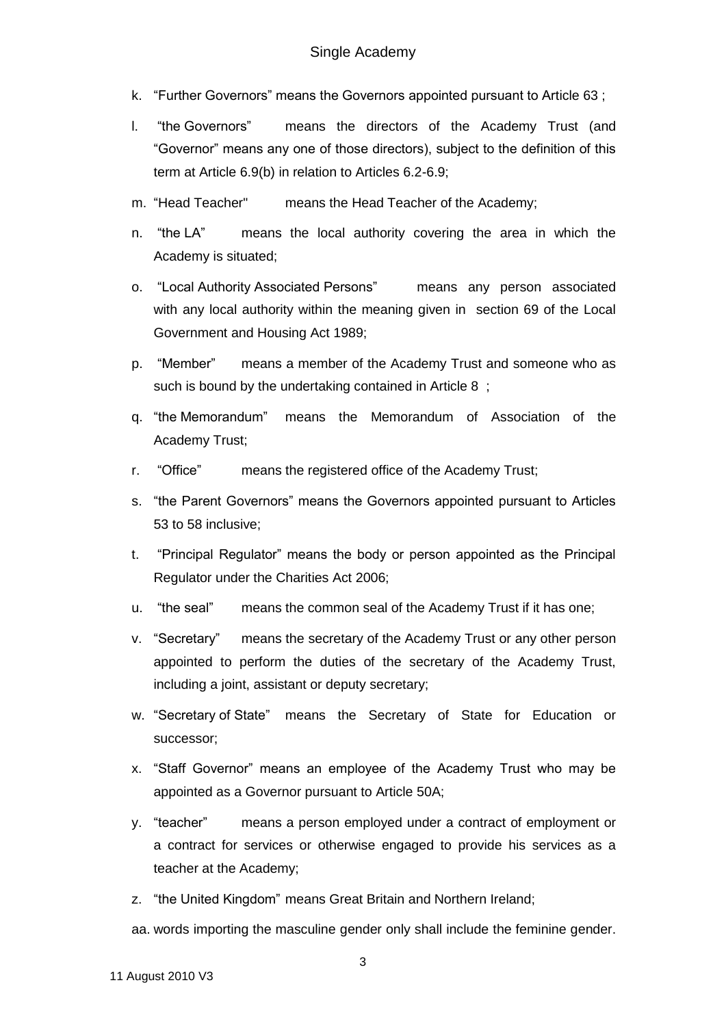- k. "Further Governors" means the Governors appointed pursuant to Article 63 ;
- l. "the Governors" means the directors of the Academy Trust (and "Governor" means any one of those directors), subject to the definition of this term at Article 6.9(b) in relation to Articles 6.2-6.9;
- m. "Head Teacher" means the Head Teacher of the Academy;
- n. "the LA" means the local authority covering the area in which the Academy is situated;
- o. "Local Authority Associated Persons" means any person associated with any local authority within the meaning given in section 69 of the Local Government and Housing Act 1989;
- p. "Member" means a member of the Academy Trust and someone who as such is bound by the undertaking contained in Article 8 ;
- q. "the Memorandum" means the Memorandum of Association of the Academy Trust;
- r. "Office" means the registered office of the Academy Trust;
- s. "the Parent Governors" means the Governors appointed pursuant to Articles 53 to 58 inclusive;
- t. "Principal Regulator" means the body or person appointed as the Principal Regulator under the Charities Act 2006;
- u. "the seal" means the common seal of the Academy Trust if it has one;
- v. "Secretary" means the secretary of the Academy Trust or any other person appointed to perform the duties of the secretary of the Academy Trust, including a joint, assistant or deputy secretary;
- w. "Secretary of State" means the Secretary of State for Education or successor;
- x. "Staff Governor" means an employee of the Academy Trust who may be appointed as a Governor pursuant to Article 50A;
- y. "teacher" means a person employed under a contract of employment or a contract for services or otherwise engaged to provide his services as a teacher at the Academy;
- z. "the United Kingdom" means Great Britain and Northern Ireland;

aa. words importing the masculine gender only shall include the feminine gender.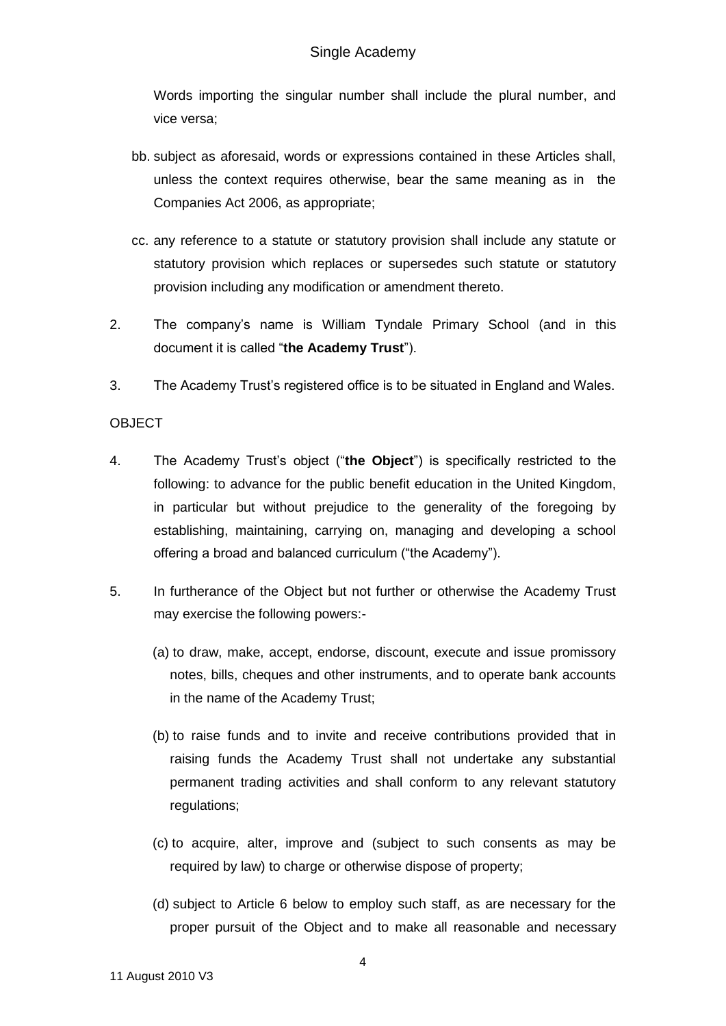Words importing the singular number shall include the plural number, and vice versa;

- bb. subject as aforesaid, words or expressions contained in these Articles shall, unless the context requires otherwise, bear the same meaning as in the Companies Act 2006, as appropriate;
- cc. any reference to a statute or statutory provision shall include any statute or statutory provision which replaces or supersedes such statute or statutory provision including any modification or amendment thereto.
- 2. The company's name is William Tyndale Primary School (and in this document it is called "**the Academy Trust**").
- 3. The Academy Trust's registered office is to be situated in England and Wales.

### **OBJECT**

- 4. The Academy Trust's object ("**the Object**") is specifically restricted to the following: to advance for the public benefit education in the United Kingdom, in particular but without prejudice to the generality of the foregoing by establishing, maintaining, carrying on, managing and developing a school offering a broad and balanced curriculum ("the Academy").
- 5. In furtherance of the Object but not further or otherwise the Academy Trust may exercise the following powers:-
	- (a) to draw, make, accept, endorse, discount, execute and issue promissory notes, bills, cheques and other instruments, and to operate bank accounts in the name of the Academy Trust;
	- (b) to raise funds and to invite and receive contributions provided that in raising funds the Academy Trust shall not undertake any substantial permanent trading activities and shall conform to any relevant statutory regulations;
	- (c) to acquire, alter, improve and (subject to such consents as may be required by law) to charge or otherwise dispose of property;
	- (d) subject to Article 6 below to employ such staff, as are necessary for the proper pursuit of the Object and to make all reasonable and necessary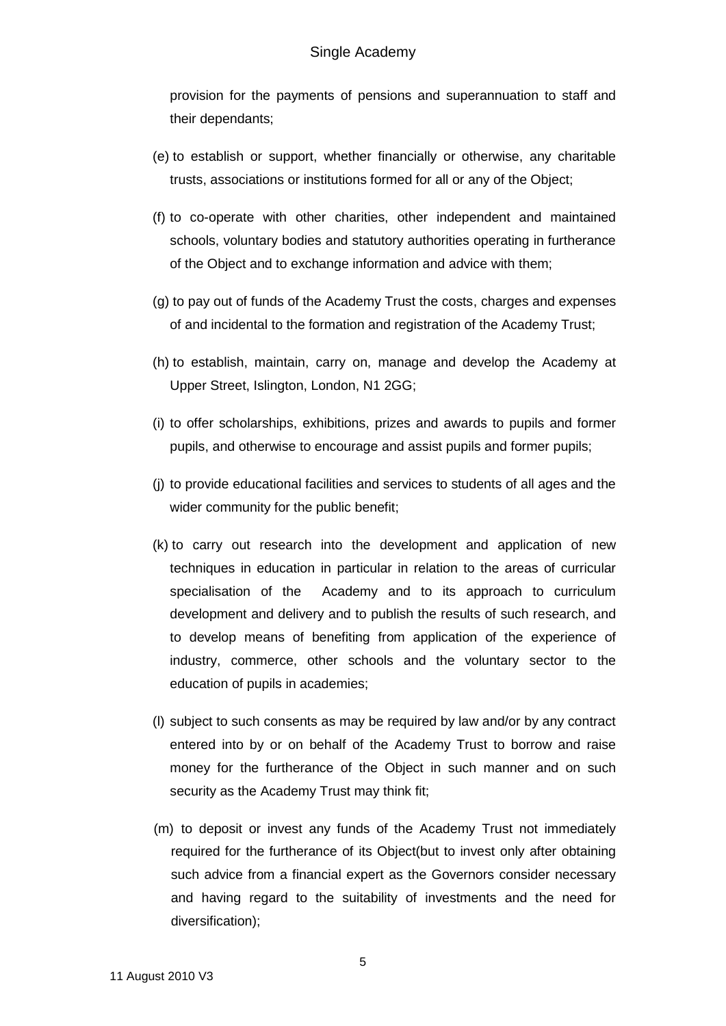provision for the payments of pensions and superannuation to staff and their dependants;

- (e) to establish or support, whether financially or otherwise, any charitable trusts, associations or institutions formed for all or any of the Object;
- (f) to co-operate with other charities, other independent and maintained schools, voluntary bodies and statutory authorities operating in furtherance of the Object and to exchange information and advice with them;
- (g) to pay out of funds of the Academy Trust the costs, charges and expenses of and incidental to the formation and registration of the Academy Trust;
- (h) to establish, maintain, carry on, manage and develop the Academy at Upper Street, Islington, London, N1 2GG;
- (i) to offer scholarships, exhibitions, prizes and awards to pupils and former pupils, and otherwise to encourage and assist pupils and former pupils;
- (j) to provide educational facilities and services to students of all ages and the wider community for the public benefit;
- (k) to carry out research into the development and application of new techniques in education in particular in relation to the areas of curricular specialisation of the Academy and to its approach to curriculum development and delivery and to publish the results of such research, and to develop means of benefiting from application of the experience of industry, commerce, other schools and the voluntary sector to the education of pupils in academies;
- (l) subject to such consents as may be required by law and/or by any contract entered into by or on behalf of the Academy Trust to borrow and raise money for the furtherance of the Object in such manner and on such security as the Academy Trust may think fit;
- (m) to deposit or invest any funds of the Academy Trust not immediately required for the furtherance of its Object(but to invest only after obtaining such advice from a financial expert as the Governors consider necessary and having regard to the suitability of investments and the need for diversification);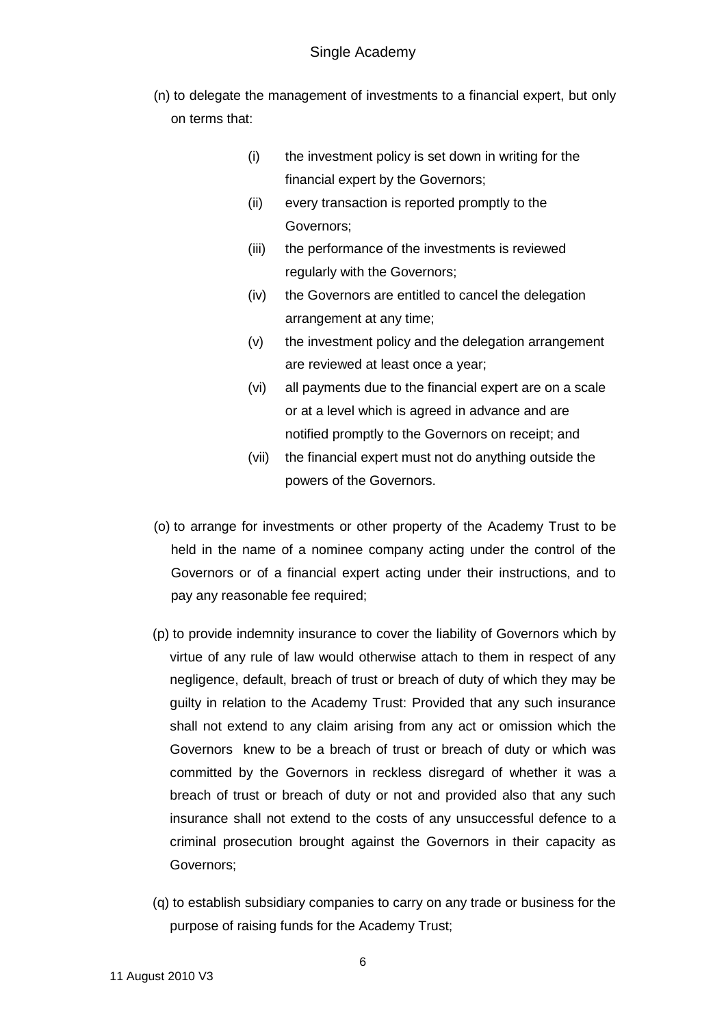- (n) to delegate the management of investments to a financial expert, but only on terms that:
	- (i) the investment policy is set down in writing for the financial expert by the Governors;
	- (ii) every transaction is reported promptly to the Governors;
	- (iii) the performance of the investments is reviewed regularly with the Governors;
	- (iv) the Governors are entitled to cancel the delegation arrangement at any time;
	- (v) the investment policy and the delegation arrangement are reviewed at least once a year;
	- (vi) all payments due to the financial expert are on a scale or at a level which is agreed in advance and are notified promptly to the Governors on receipt; and
	- (vii) the financial expert must not do anything outside the powers of the Governors.
- (o) to arrange for investments or other property of the Academy Trust to be held in the name of a nominee company acting under the control of the Governors or of a financial expert acting under their instructions, and to pay any reasonable fee required;
- (p) to provide indemnity insurance to cover the liability of Governors which by virtue of any rule of law would otherwise attach to them in respect of any negligence, default, breach of trust or breach of duty of which they may be guilty in relation to the Academy Trust: Provided that any such insurance shall not extend to any claim arising from any act or omission which the Governors knew to be a breach of trust or breach of duty or which was committed by the Governors in reckless disregard of whether it was a breach of trust or breach of duty or not and provided also that any such insurance shall not extend to the costs of any unsuccessful defence to a criminal prosecution brought against the Governors in their capacity as Governors;
- (q) to establish subsidiary companies to carry on any trade or business for the purpose of raising funds for the Academy Trust;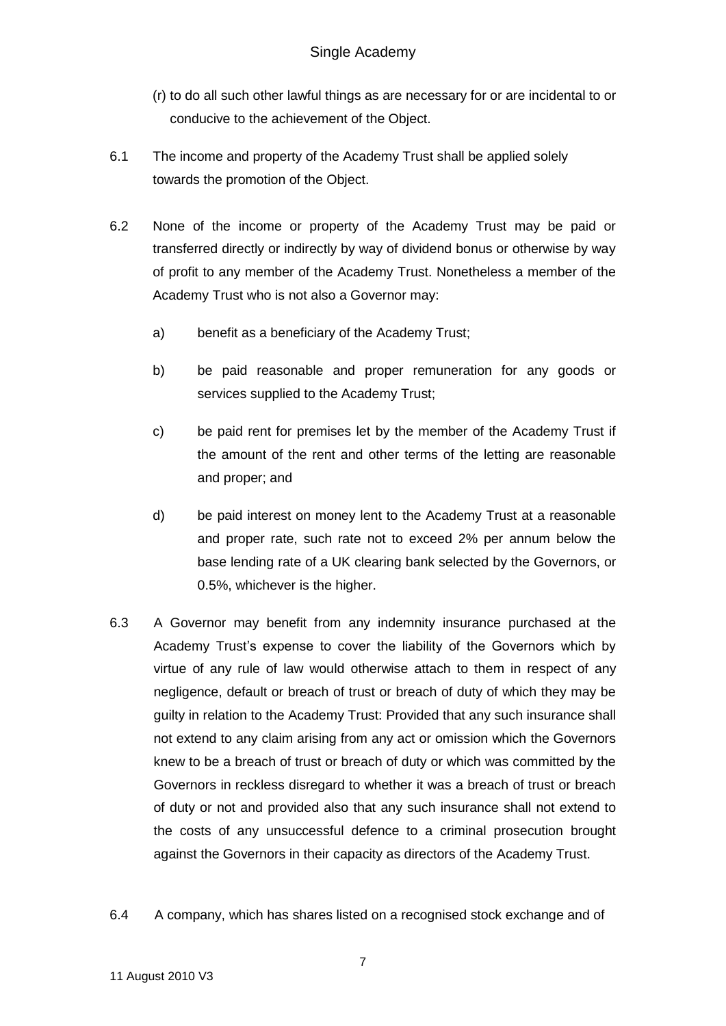- (r) to do all such other lawful things as are necessary for or are incidental to or conducive to the achievement of the Object.
- 6.1 The income and property of the Academy Trust shall be applied solely towards the promotion of the Object.
- 6.2 None of the income or property of the Academy Trust may be paid or transferred directly or indirectly by way of dividend bonus or otherwise by way of profit to any member of the Academy Trust. Nonetheless a member of the Academy Trust who is not also a Governor may:
	- a) benefit as a beneficiary of the Academy Trust;
	- b) be paid reasonable and proper remuneration for any goods or services supplied to the Academy Trust;
	- c) be paid rent for premises let by the member of the Academy Trust if the amount of the rent and other terms of the letting are reasonable and proper; and
	- d) be paid interest on money lent to the Academy Trust at a reasonable and proper rate, such rate not to exceed 2% per annum below the base lending rate of a UK clearing bank selected by the Governors, or 0.5%, whichever is the higher.
- 6.3 A Governor may benefit from any indemnity insurance purchased at the Academy Trust's expense to cover the liability of the Governors which by virtue of any rule of law would otherwise attach to them in respect of any negligence, default or breach of trust or breach of duty of which they may be guilty in relation to the Academy Trust: Provided that any such insurance shall not extend to any claim arising from any act or omission which the Governors knew to be a breach of trust or breach of duty or which was committed by the Governors in reckless disregard to whether it was a breach of trust or breach of duty or not and provided also that any such insurance shall not extend to the costs of any unsuccessful defence to a criminal prosecution brought against the Governors in their capacity as directors of the Academy Trust.
- 6.4 A company, which has shares listed on a recognised stock exchange and of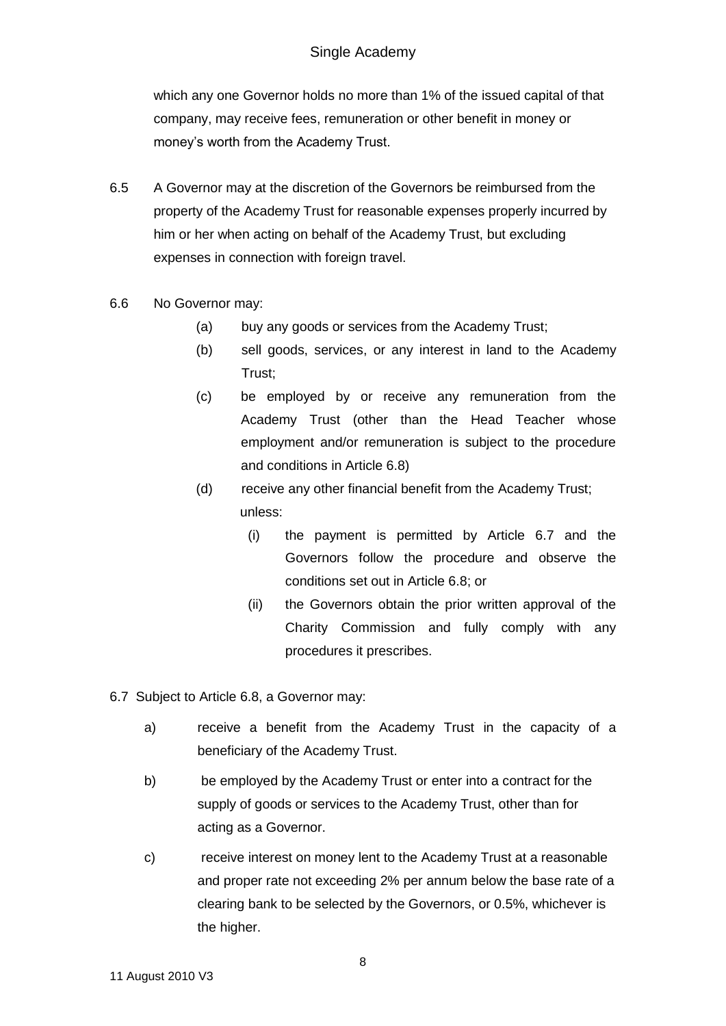which any one Governor holds no more than 1% of the issued capital of that company, may receive fees, remuneration or other benefit in money or money's worth from the Academy Trust.

- 6.5 A Governor may at the discretion of the Governors be reimbursed from the property of the Academy Trust for reasonable expenses properly incurred by him or her when acting on behalf of the Academy Trust, but excluding expenses in connection with foreign travel.
- 6.6 No Governor may:
	- (a) buy any goods or services from the Academy Trust;
	- (b) sell goods, services, or any interest in land to the Academy Trust;
	- (c) be employed by or receive any remuneration from the Academy Trust (other than the Head Teacher whose employment and/or remuneration is subject to the procedure and conditions in Article 6.8)
	- (d) receive any other financial benefit from the Academy Trust; unless:
		- (i) the payment is permitted by Article 6.7 and the Governors follow the procedure and observe the conditions set out in Article 6.8; or
		- (ii) the Governors obtain the prior written approval of the Charity Commission and fully comply with any procedures it prescribes.
- 6.7 Subject to Article 6.8, a Governor may:
	- a) receive a benefit from the Academy Trust in the capacity of a beneficiary of the Academy Trust.
	- b) be employed by the Academy Trust or enter into a contract for the supply of goods or services to the Academy Trust, other than for acting as a Governor.
	- c) receive interest on money lent to the Academy Trust at a reasonable and proper rate not exceeding 2% per annum below the base rate of a clearing bank to be selected by the Governors, or 0.5%, whichever is the higher.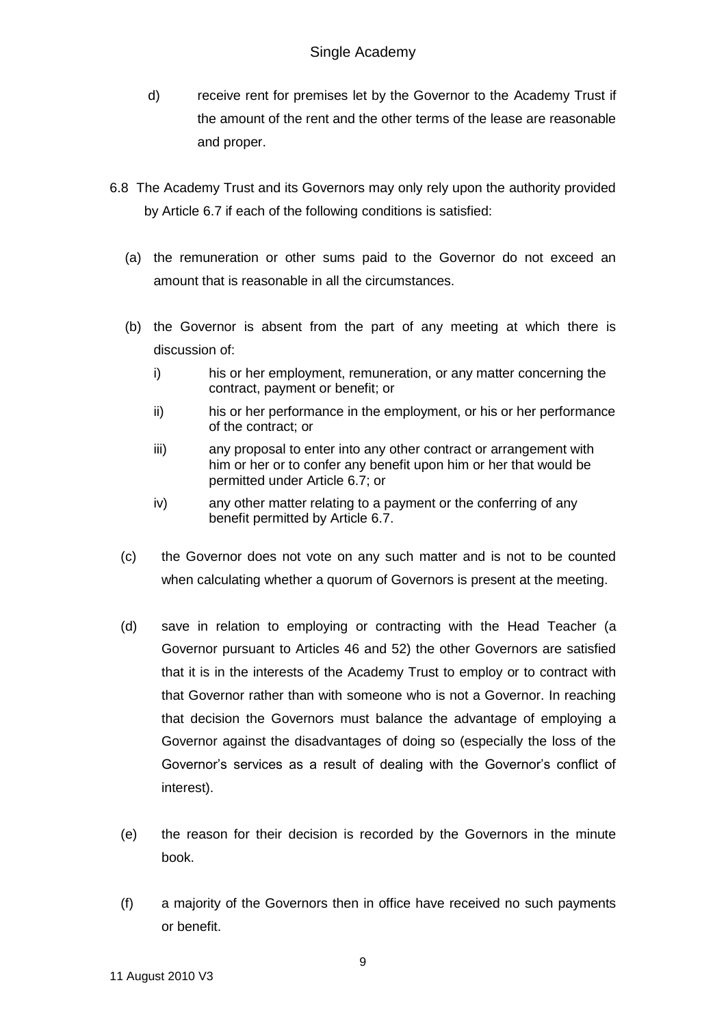- d) receive rent for premises let by the Governor to the Academy Trust if the amount of the rent and the other terms of the lease are reasonable and proper.
- 6.8 The Academy Trust and its Governors may only rely upon the authority provided by Article 6.7 if each of the following conditions is satisfied:
	- (a) the remuneration or other sums paid to the Governor do not exceed an amount that is reasonable in all the circumstances.
	- (b) the Governor is absent from the part of any meeting at which there is discussion of:
		- i) his or her employment, remuneration, or any matter concerning the contract, payment or benefit; or
		- ii) his or her performance in the employment, or his or her performance of the contract; or
		- iii) any proposal to enter into any other contract or arrangement with him or her or to confer any benefit upon him or her that would be permitted under Article 6.7; or
		- iv) any other matter relating to a payment or the conferring of any benefit permitted by Article 6.7.
	- (c) the Governor does not vote on any such matter and is not to be counted when calculating whether a quorum of Governors is present at the meeting.
	- (d) save in relation to employing or contracting with the Head Teacher (a Governor pursuant to Articles 46 and 52) the other Governors are satisfied that it is in the interests of the Academy Trust to employ or to contract with that Governor rather than with someone who is not a Governor. In reaching that decision the Governors must balance the advantage of employing a Governor against the disadvantages of doing so (especially the loss of the Governor's services as a result of dealing with the Governor's conflict of interest).
	- (e) the reason for their decision is recorded by the Governors in the minute book.
	- (f) a majority of the Governors then in office have received no such payments or benefit.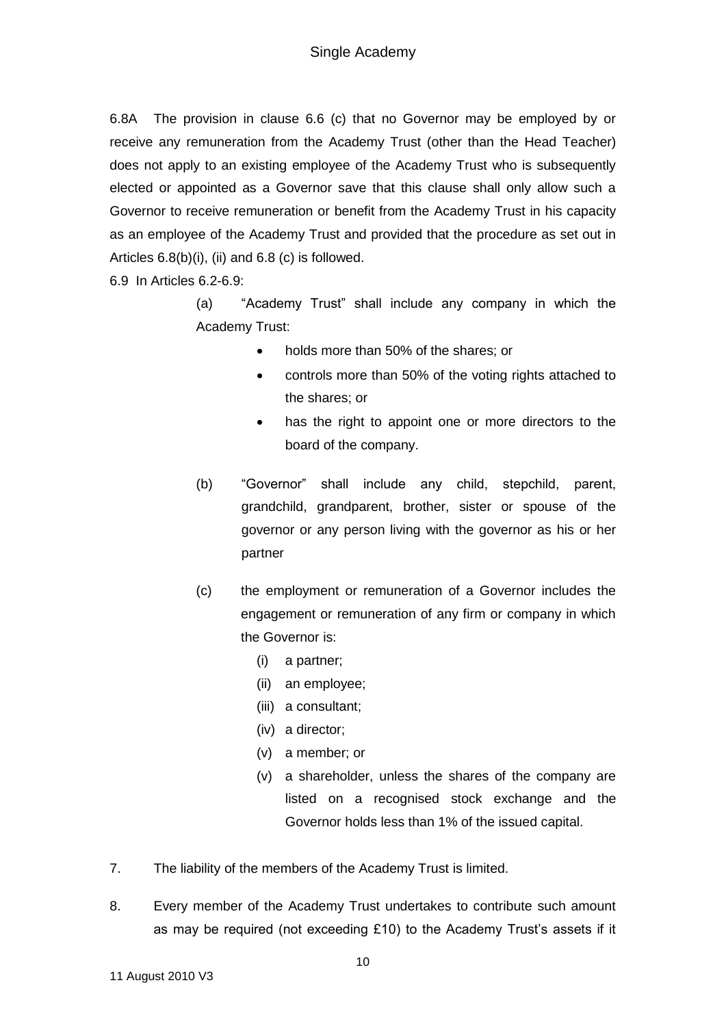6.8A The provision in clause 6.6 (c) that no Governor may be employed by or receive any remuneration from the Academy Trust (other than the Head Teacher) does not apply to an existing employee of the Academy Trust who is subsequently elected or appointed as a Governor save that this clause shall only allow such a Governor to receive remuneration or benefit from the Academy Trust in his capacity as an employee of the Academy Trust and provided that the procedure as set out in Articles 6.8(b)(i), (ii) and 6.8 (c) is followed.

6.9 In Articles 6.2-6.9:

(a) "Academy Trust" shall include any company in which the Academy Trust:

- holds more than 50% of the shares; or
- controls more than 50% of the voting rights attached to the shares; or
- has the right to appoint one or more directors to the board of the company.
- (b) "Governor" shall include any child, stepchild, parent, grandchild, grandparent, brother, sister or spouse of the governor or any person living with the governor as his or her partner
- (c) the employment or remuneration of a Governor includes the engagement or remuneration of any firm or company in which the Governor is:
	- (i) a partner;
	- (ii) an employee;
	- (iii) a consultant;
	- (iv) a director;
	- (v) a member; or
	- (v) a shareholder, unless the shares of the company are listed on a recognised stock exchange and the Governor holds less than 1% of the issued capital.
- 7. The liability of the members of the Academy Trust is limited.
- 8. Every member of the Academy Trust undertakes to contribute such amount as may be required (not exceeding £10) to the Academy Trust's assets if it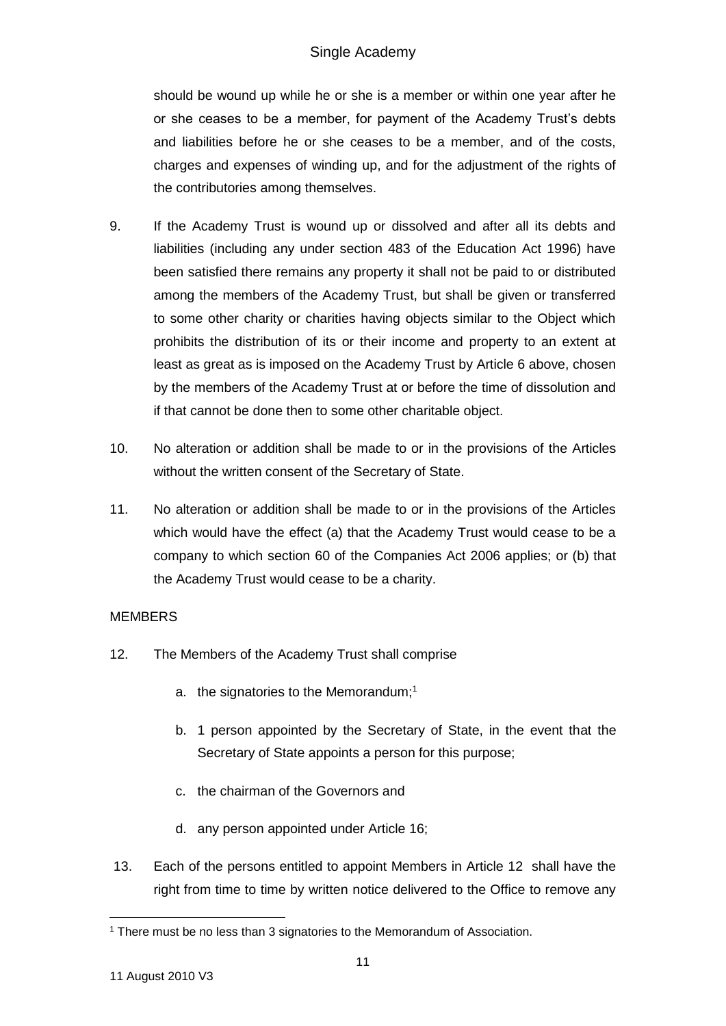should be wound up while he or she is a member or within one year after he or she ceases to be a member, for payment of the Academy Trust's debts and liabilities before he or she ceases to be a member, and of the costs, charges and expenses of winding up, and for the adjustment of the rights of the contributories among themselves.

- 9. If the Academy Trust is wound up or dissolved and after all its debts and liabilities (including any under section 483 of the Education Act 1996) have been satisfied there remains any property it shall not be paid to or distributed among the members of the Academy Trust, but shall be given or transferred to some other charity or charities having objects similar to the Object which prohibits the distribution of its or their income and property to an extent at least as great as is imposed on the Academy Trust by Article 6 above, chosen by the members of the Academy Trust at or before the time of dissolution and if that cannot be done then to some other charitable object.
- 10. No alteration or addition shall be made to or in the provisions of the Articles without the written consent of the Secretary of State.
- 11. No alteration or addition shall be made to or in the provisions of the Articles which would have the effect (a) that the Academy Trust would cease to be a company to which section 60 of the Companies Act 2006 applies; or (b) that the Academy Trust would cease to be a charity.

## **MEMBERS**

- 12. The Members of the Academy Trust shall comprise
	- a. the signatories to the Memorandum;<sup>1</sup>
	- b. 1 person appointed by the Secretary of State, in the event that the Secretary of State appoints a person for this purpose;
	- c. the chairman of the Governors and
	- d. any person appointed under Article 16;
- 13. Each of the persons entitled to appoint Members in Article 12 shall have the right from time to time by written notice delivered to the Office to remove any

<sup>1</sup> <sup>1</sup> There must be no less than 3 signatories to the Memorandum of Association.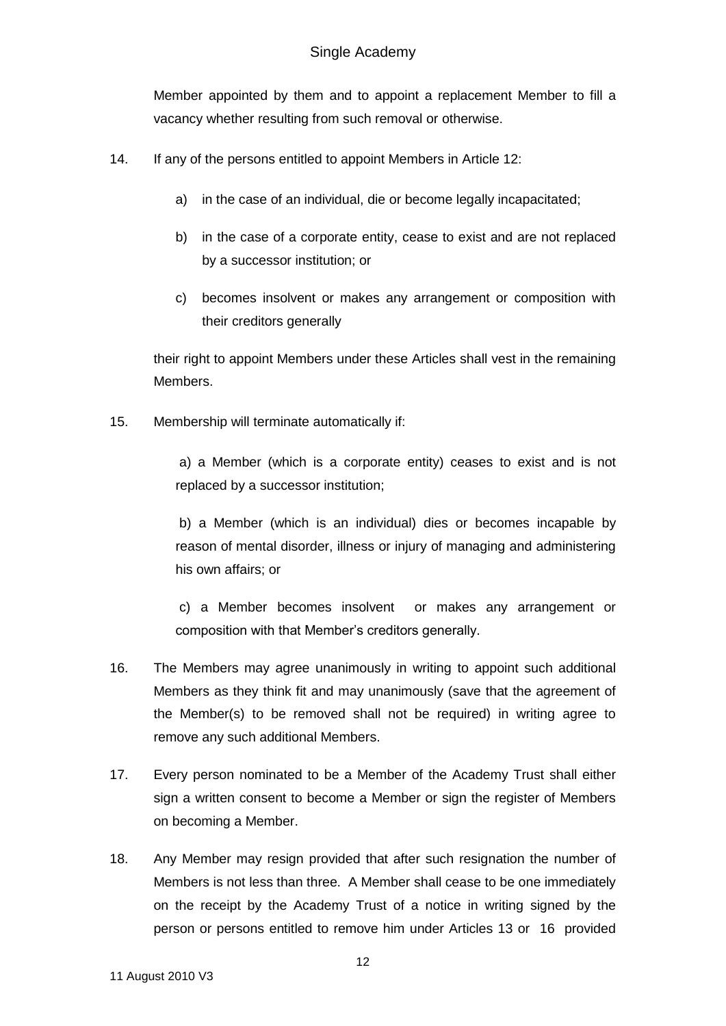## Single Academy

Member appointed by them and to appoint a replacement Member to fill a vacancy whether resulting from such removal or otherwise.

- 14. If any of the persons entitled to appoint Members in Article 12:
	- a) in the case of an individual, die or become legally incapacitated;
	- b) in the case of a corporate entity, cease to exist and are not replaced by a successor institution; or
	- c) becomes insolvent or makes any arrangement or composition with their creditors generally

their right to appoint Members under these Articles shall vest in the remaining Members.

15. Membership will terminate automatically if:

a) a Member (which is a corporate entity) ceases to exist and is not replaced by a successor institution;

b) a Member (which is an individual) dies or becomes incapable by reason of mental disorder, illness or injury of managing and administering his own affairs; or

c) a Member becomes insolvent or makes any arrangement or composition with that Member's creditors generally.

- 16. The Members may agree unanimously in writing to appoint such additional Members as they think fit and may unanimously (save that the agreement of the Member(s) to be removed shall not be required) in writing agree to remove any such additional Members.
- 17. Every person nominated to be a Member of the Academy Trust shall either sign a written consent to become a Member or sign the register of Members on becoming a Member.
- 18. Any Member may resign provided that after such resignation the number of Members is not less than three. A Member shall cease to be one immediately on the receipt by the Academy Trust of a notice in writing signed by the person or persons entitled to remove him under Articles 13 or 16 provided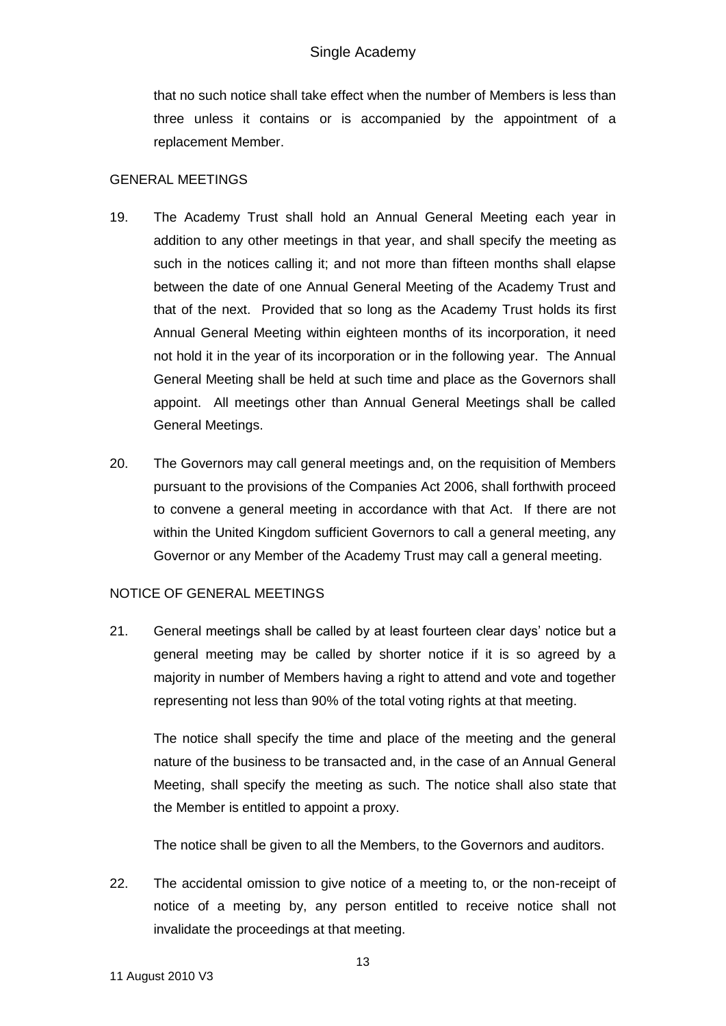that no such notice shall take effect when the number of Members is less than three unless it contains or is accompanied by the appointment of a replacement Member.

### GENERAL MEETINGS

- 19. The Academy Trust shall hold an Annual General Meeting each year in addition to any other meetings in that year, and shall specify the meeting as such in the notices calling it; and not more than fifteen months shall elapse between the date of one Annual General Meeting of the Academy Trust and that of the next. Provided that so long as the Academy Trust holds its first Annual General Meeting within eighteen months of its incorporation, it need not hold it in the year of its incorporation or in the following year. The Annual General Meeting shall be held at such time and place as the Governors shall appoint. All meetings other than Annual General Meetings shall be called General Meetings.
- 20. The Governors may call general meetings and, on the requisition of Members pursuant to the provisions of the Companies Act 2006, shall forthwith proceed to convene a general meeting in accordance with that Act. If there are not within the United Kingdom sufficient Governors to call a general meeting, any Governor or any Member of the Academy Trust may call a general meeting.

## NOTICE OF GENERAL MEETINGS

21. General meetings shall be called by at least fourteen clear days' notice but a general meeting may be called by shorter notice if it is so agreed by a majority in number of Members having a right to attend and vote and together representing not less than 90% of the total voting rights at that meeting.

The notice shall specify the time and place of the meeting and the general nature of the business to be transacted and, in the case of an Annual General Meeting, shall specify the meeting as such. The notice shall also state that the Member is entitled to appoint a proxy.

The notice shall be given to all the Members, to the Governors and auditors.

22. The accidental omission to give notice of a meeting to, or the non-receipt of notice of a meeting by, any person entitled to receive notice shall not invalidate the proceedings at that meeting.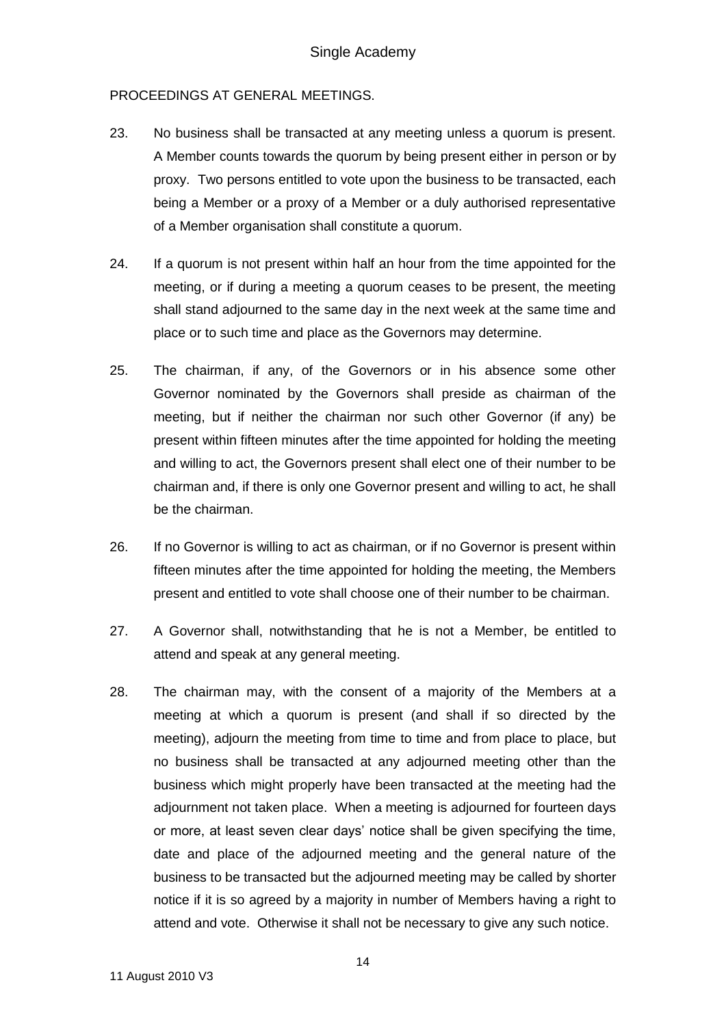### PROCEEDINGS AT GENERAL MEETINGS.

- 23. No business shall be transacted at any meeting unless a quorum is present. A Member counts towards the quorum by being present either in person or by proxy. Two persons entitled to vote upon the business to be transacted, each being a Member or a proxy of a Member or a duly authorised representative of a Member organisation shall constitute a quorum.
- 24. If a quorum is not present within half an hour from the time appointed for the meeting, or if during a meeting a quorum ceases to be present, the meeting shall stand adjourned to the same day in the next week at the same time and place or to such time and place as the Governors may determine.
- 25. The chairman, if any, of the Governors or in his absence some other Governor nominated by the Governors shall preside as chairman of the meeting, but if neither the chairman nor such other Governor (if any) be present within fifteen minutes after the time appointed for holding the meeting and willing to act, the Governors present shall elect one of their number to be chairman and, if there is only one Governor present and willing to act, he shall be the chairman.
- 26. If no Governor is willing to act as chairman, or if no Governor is present within fifteen minutes after the time appointed for holding the meeting, the Members present and entitled to vote shall choose one of their number to be chairman.
- 27. A Governor shall, notwithstanding that he is not a Member, be entitled to attend and speak at any general meeting.
- 28. The chairman may, with the consent of a majority of the Members at a meeting at which a quorum is present (and shall if so directed by the meeting), adjourn the meeting from time to time and from place to place, but no business shall be transacted at any adjourned meeting other than the business which might properly have been transacted at the meeting had the adjournment not taken place. When a meeting is adjourned for fourteen days or more, at least seven clear days' notice shall be given specifying the time, date and place of the adjourned meeting and the general nature of the business to be transacted but the adjourned meeting may be called by shorter notice if it is so agreed by a majority in number of Members having a right to attend and vote. Otherwise it shall not be necessary to give any such notice.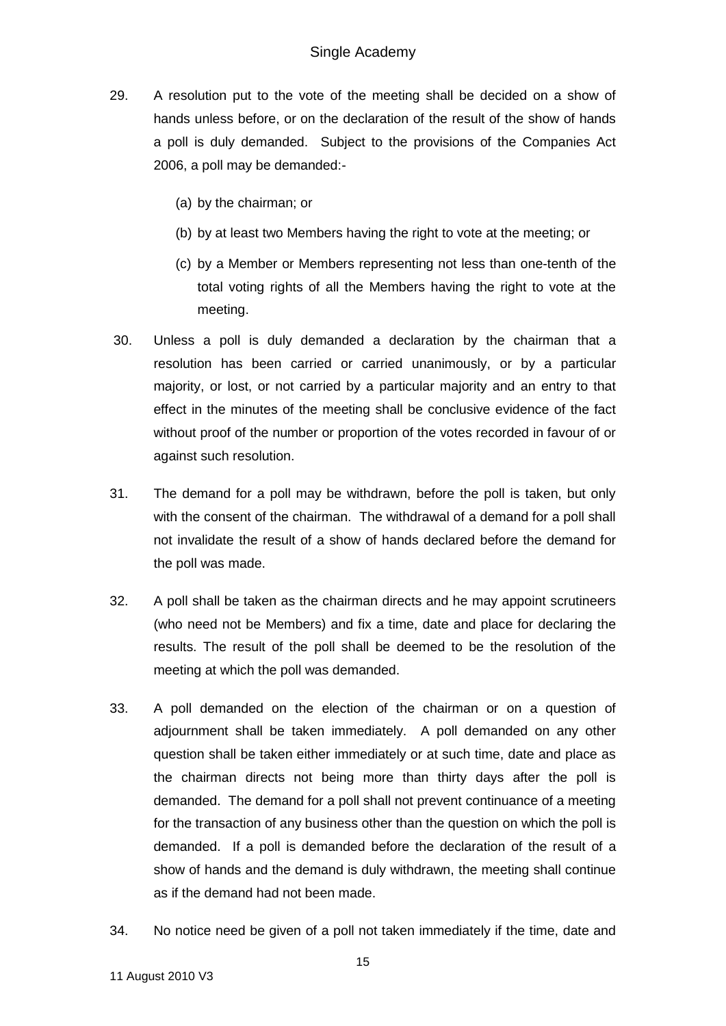- 29. A resolution put to the vote of the meeting shall be decided on a show of hands unless before, or on the declaration of the result of the show of hands a poll is duly demanded. Subject to the provisions of the Companies Act 2006, a poll may be demanded:-
	- (a) by the chairman; or
	- (b) by at least two Members having the right to vote at the meeting; or
	- (c) by a Member or Members representing not less than one-tenth of the total voting rights of all the Members having the right to vote at the meeting.
- 30. Unless a poll is duly demanded a declaration by the chairman that a resolution has been carried or carried unanimously, or by a particular majority, or lost, or not carried by a particular majority and an entry to that effect in the minutes of the meeting shall be conclusive evidence of the fact without proof of the number or proportion of the votes recorded in favour of or against such resolution.
- 31. The demand for a poll may be withdrawn, before the poll is taken, but only with the consent of the chairman. The withdrawal of a demand for a poll shall not invalidate the result of a show of hands declared before the demand for the poll was made.
- 32. A poll shall be taken as the chairman directs and he may appoint scrutineers (who need not be Members) and fix a time, date and place for declaring the results. The result of the poll shall be deemed to be the resolution of the meeting at which the poll was demanded.
- 33. A poll demanded on the election of the chairman or on a question of adjournment shall be taken immediately. A poll demanded on any other question shall be taken either immediately or at such time, date and place as the chairman directs not being more than thirty days after the poll is demanded. The demand for a poll shall not prevent continuance of a meeting for the transaction of any business other than the question on which the poll is demanded. If a poll is demanded before the declaration of the result of a show of hands and the demand is duly withdrawn, the meeting shall continue as if the demand had not been made.
- 34. No notice need be given of a poll not taken immediately if the time, date and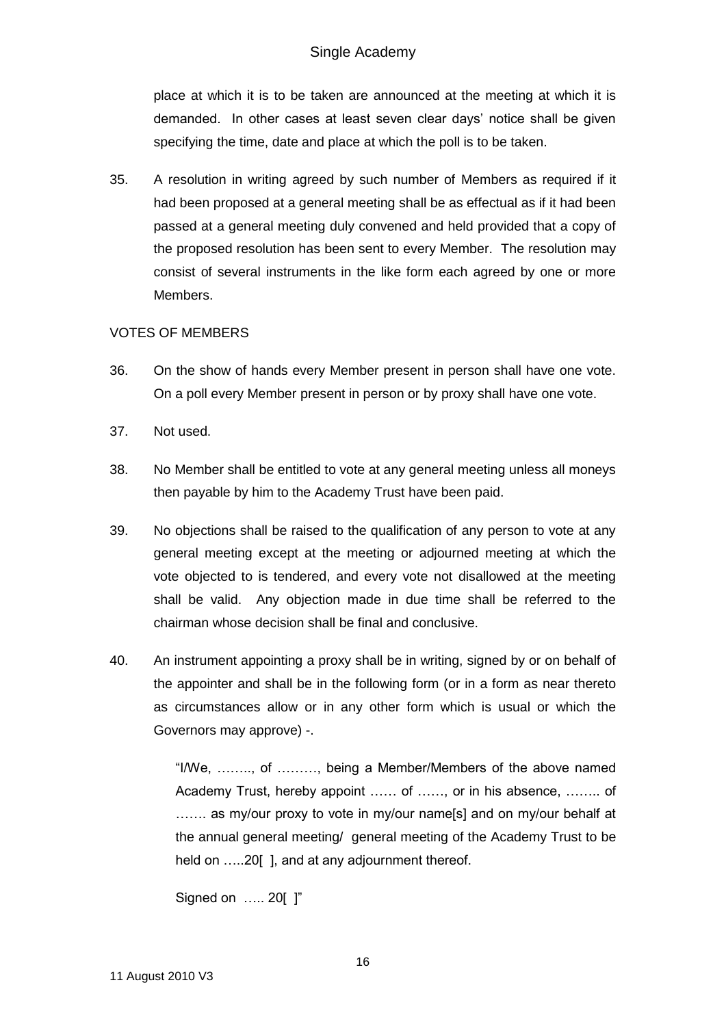# Single Academy

place at which it is to be taken are announced at the meeting at which it is demanded. In other cases at least seven clear days' notice shall be given specifying the time, date and place at which the poll is to be taken.

35. A resolution in writing agreed by such number of Members as required if it had been proposed at a general meeting shall be as effectual as if it had been passed at a general meeting duly convened and held provided that a copy of the proposed resolution has been sent to every Member. The resolution may consist of several instruments in the like form each agreed by one or more Members.

### VOTES OF MEMBERS

- 36. On the show of hands every Member present in person shall have one vote. On a poll every Member present in person or by proxy shall have one vote.
- 37. Not used.
- 38. No Member shall be entitled to vote at any general meeting unless all moneys then payable by him to the Academy Trust have been paid.
- 39. No objections shall be raised to the qualification of any person to vote at any general meeting except at the meeting or adjourned meeting at which the vote objected to is tendered, and every vote not disallowed at the meeting shall be valid. Any objection made in due time shall be referred to the chairman whose decision shall be final and conclusive.
- 40. An instrument appointing a proxy shall be in writing, signed by or on behalf of the appointer and shall be in the following form (or in a form as near thereto as circumstances allow or in any other form which is usual or which the Governors may approve) -.

"I/We, …….., of ………, being a Member/Members of the above named Academy Trust, hereby appoint …… of ……, or in his absence, …….. of ....... as my/our proxy to vote in my/our name[s] and on my/our behalf at the annual general meeting/ general meeting of the Academy Trust to be held on .....20[], and at any adjournment thereof.

```
Signed on ….. 20[ ]"
```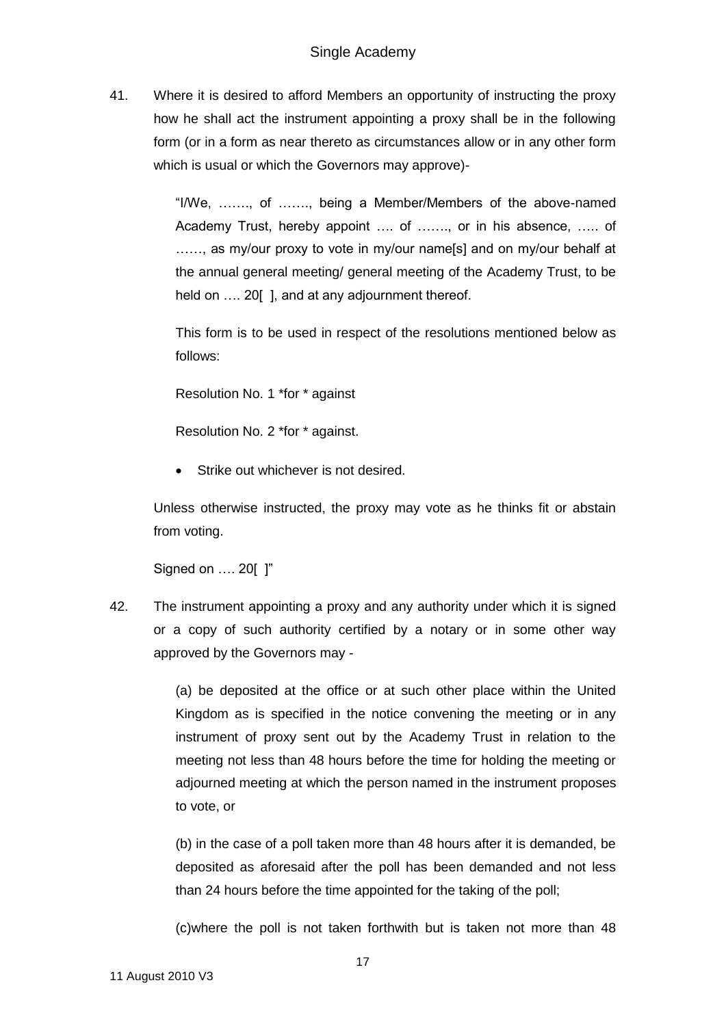41. Where it is desired to afford Members an opportunity of instructing the proxy how he shall act the instrument appointing a proxy shall be in the following form (or in a form as near thereto as circumstances allow or in any other form which is usual or which the Governors may approve)-

> "I/We, ……., of ……., being a Member/Members of the above-named Academy Trust, hereby appoint …. of ……., or in his absence, ….. of ……, as my/our proxy to vote in my/our name[s] and on my/our behalf at the annual general meeting/ general meeting of the Academy Trust, to be held on .... 20[], and at any adjournment thereof.

> This form is to be used in respect of the resolutions mentioned below as follows:

Resolution No. 1 \*for \* against

Resolution No. 2 \*for \* against.

Strike out whichever is not desired.

Unless otherwise instructed, the proxy may vote as he thinks fit or abstain from voting.

Signed on …. 20[ ]"

42. The instrument appointing a proxy and any authority under which it is signed or a copy of such authority certified by a notary or in some other way approved by the Governors may -

> (a) be deposited at the office or at such other place within the United Kingdom as is specified in the notice convening the meeting or in any instrument of proxy sent out by the Academy Trust in relation to the meeting not less than 48 hours before the time for holding the meeting or adjourned meeting at which the person named in the instrument proposes to vote, or

> (b) in the case of a poll taken more than 48 hours after it is demanded, be deposited as aforesaid after the poll has been demanded and not less than 24 hours before the time appointed for the taking of the poll;

> (c)where the poll is not taken forthwith but is taken not more than 48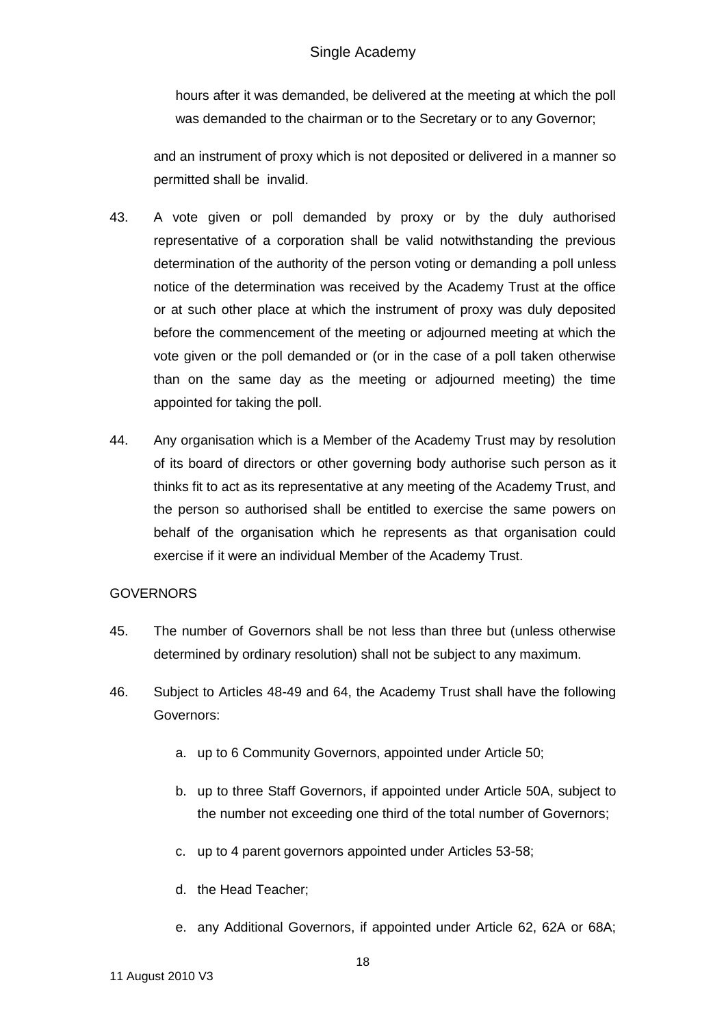hours after it was demanded, be delivered at the meeting at which the poll was demanded to the chairman or to the Secretary or to any Governor;

and an instrument of proxy which is not deposited or delivered in a manner so permitted shall be invalid.

- 43. A vote given or poll demanded by proxy or by the duly authorised representative of a corporation shall be valid notwithstanding the previous determination of the authority of the person voting or demanding a poll unless notice of the determination was received by the Academy Trust at the office or at such other place at which the instrument of proxy was duly deposited before the commencement of the meeting or adjourned meeting at which the vote given or the poll demanded or (or in the case of a poll taken otherwise than on the same day as the meeting or adjourned meeting) the time appointed for taking the poll.
- 44. Any organisation which is a Member of the Academy Trust may by resolution of its board of directors or other governing body authorise such person as it thinks fit to act as its representative at any meeting of the Academy Trust, and the person so authorised shall be entitled to exercise the same powers on behalf of the organisation which he represents as that organisation could exercise if it were an individual Member of the Academy Trust.

### **GOVERNORS**

- 45. The number of Governors shall be not less than three but (unless otherwise determined by ordinary resolution) shall not be subject to any maximum.
- 46. Subject to Articles 48-49 and 64, the Academy Trust shall have the following Governors:
	- a. up to 6 Community Governors, appointed under Article 50;
	- b. up to three Staff Governors, if appointed under Article 50A, subject to the number not exceeding one third of the total number of Governors;
	- c. up to 4 parent governors appointed under Articles 53-58;
	- d. the Head Teacher;
	- e. any Additional Governors, if appointed under Article 62, 62A or 68A;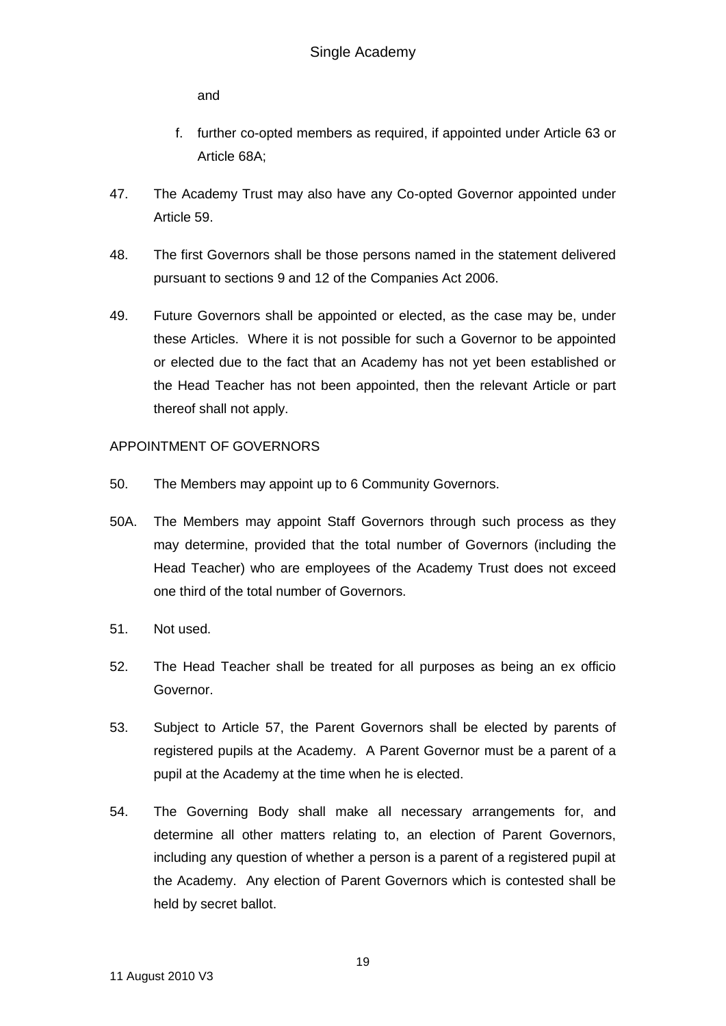and

- f. further co-opted members as required, if appointed under Article 63 or Article 68A;
- 47. The Academy Trust may also have any Co-opted Governor appointed under Article 59.
- 48. The first Governors shall be those persons named in the statement delivered pursuant to sections 9 and 12 of the Companies Act 2006.
- 49. Future Governors shall be appointed or elected, as the case may be, under these Articles. Where it is not possible for such a Governor to be appointed or elected due to the fact that an Academy has not yet been established or the Head Teacher has not been appointed, then the relevant Article or part thereof shall not apply.

## APPOINTMENT OF GOVERNORS

- 50. The Members may appoint up to 6 Community Governors.
- 50A. The Members may appoint Staff Governors through such process as they may determine, provided that the total number of Governors (including the Head Teacher) who are employees of the Academy Trust does not exceed one third of the total number of Governors.
- 51. Not used.
- 52. The Head Teacher shall be treated for all purposes as being an ex officio Governor.
- 53. Subject to Article 57, the Parent Governors shall be elected by parents of registered pupils at the Academy. A Parent Governor must be a parent of a pupil at the Academy at the time when he is elected.
- 54. The Governing Body shall make all necessary arrangements for, and determine all other matters relating to, an election of Parent Governors, including any question of whether a person is a parent of a registered pupil at the Academy. Any election of Parent Governors which is contested shall be held by secret ballot.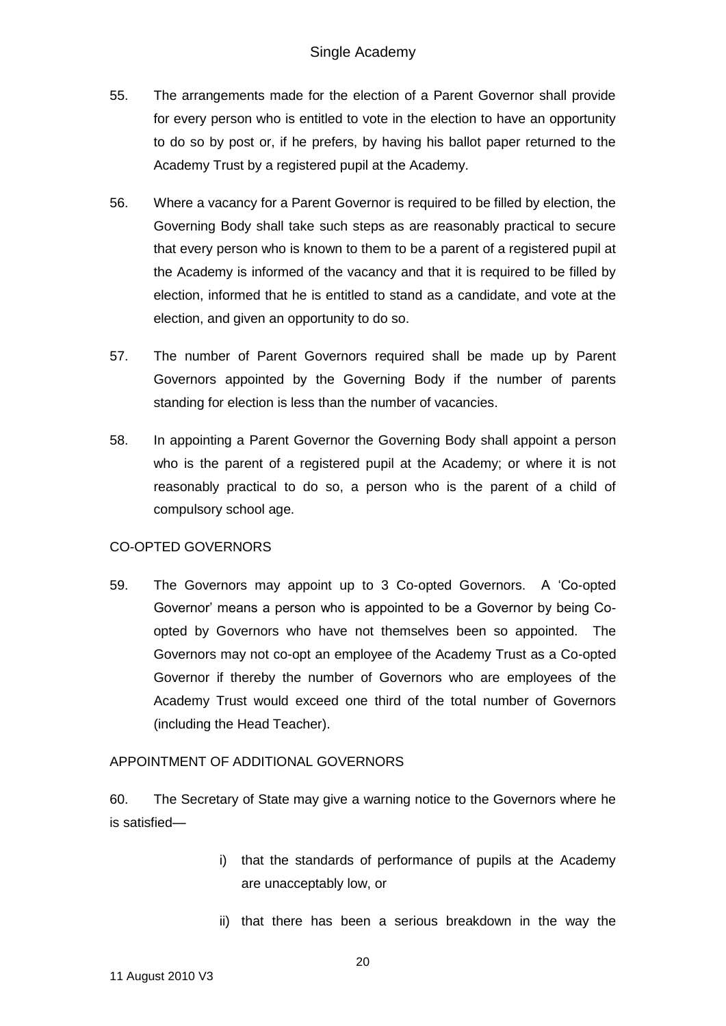- 55. The arrangements made for the election of a Parent Governor shall provide for every person who is entitled to vote in the election to have an opportunity to do so by post or, if he prefers, by having his ballot paper returned to the Academy Trust by a registered pupil at the Academy.
- 56. Where a vacancy for a Parent Governor is required to be filled by election, the Governing Body shall take such steps as are reasonably practical to secure that every person who is known to them to be a parent of a registered pupil at the Academy is informed of the vacancy and that it is required to be filled by election, informed that he is entitled to stand as a candidate, and vote at the election, and given an opportunity to do so.
- 57. The number of Parent Governors required shall be made up by Parent Governors appointed by the Governing Body if the number of parents standing for election is less than the number of vacancies.
- 58. In appointing a Parent Governor the Governing Body shall appoint a person who is the parent of a registered pupil at the Academy; or where it is not reasonably practical to do so, a person who is the parent of a child of compulsory school age.

## CO-OPTED GOVERNORS

59. The Governors may appoint up to 3 Co-opted Governors. A 'Co-opted Governor' means a person who is appointed to be a Governor by being Coopted by Governors who have not themselves been so appointed. The Governors may not co-opt an employee of the Academy Trust as a Co-opted Governor if thereby the number of Governors who are employees of the Academy Trust would exceed one third of the total number of Governors (including the Head Teacher).

### APPOINTMENT OF ADDITIONAL GOVERNORS

60. The Secretary of State may give a warning notice to the Governors where he is satisfied—

- i) that the standards of performance of pupils at the Academy are unacceptably low, or
- ii) that there has been a serious breakdown in the way the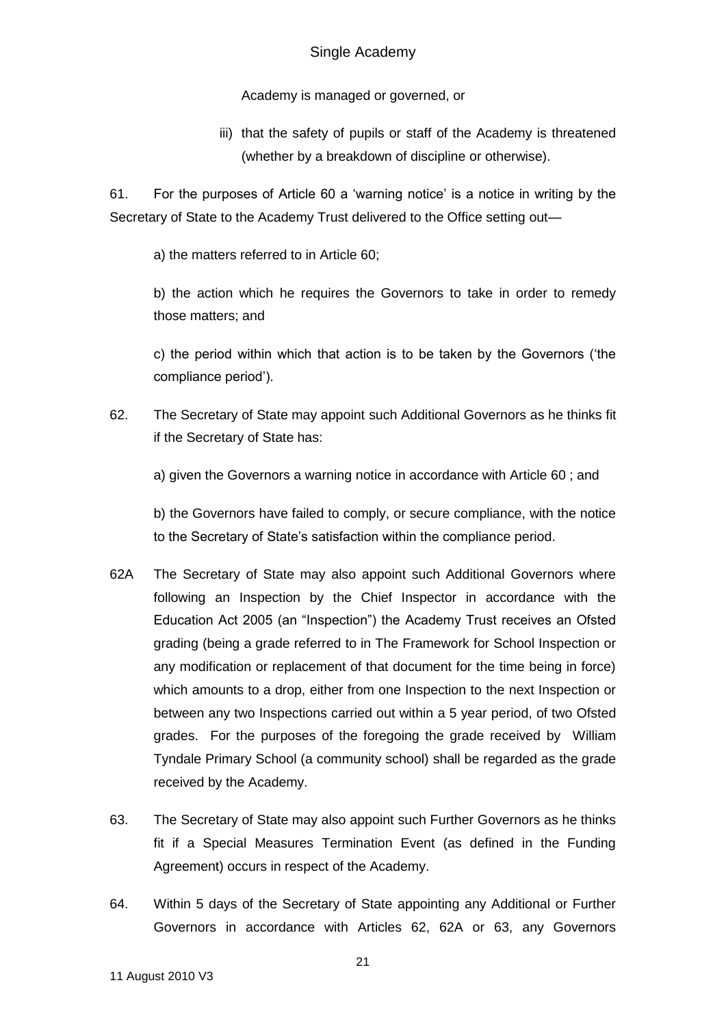Academy is managed or governed, or

iii) that the safety of pupils or staff of the Academy is threatened (whether by a breakdown of discipline or otherwise).

61. For the purposes of Article 60 a 'warning notice' is a notice in writing by the Secretary of State to the Academy Trust delivered to the Office setting out—

a) the matters referred to in Article 60;

b) the action which he requires the Governors to take in order to remedy those matters; and

c) the period within which that action is to be taken by the Governors ('the compliance period').

62. The Secretary of State may appoint such Additional Governors as he thinks fit if the Secretary of State has:

a) given the Governors a warning notice in accordance with Article 60 ; and

b) the Governors have failed to comply, or secure compliance, with the notice to the Secretary of State's satisfaction within the compliance period.

- 62A The Secretary of State may also appoint such Additional Governors where following an Inspection by the Chief Inspector in accordance with the Education Act 2005 (an "Inspection") the Academy Trust receives an Ofsted grading (being a grade referred to in The Framework for School Inspection or any modification or replacement of that document for the time being in force) which amounts to a drop, either from one Inspection to the next Inspection or between any two Inspections carried out within a 5 year period, of two Ofsted grades. For the purposes of the foregoing the grade received by William Tyndale Primary School (a community school) shall be regarded as the grade received by the Academy.
- 63. The Secretary of State may also appoint such Further Governors as he thinks fit if a Special Measures Termination Event (as defined in the Funding Agreement) occurs in respect of the Academy.
- 64. Within 5 days of the Secretary of State appointing any Additional or Further Governors in accordance with Articles 62, 62A or 63, any Governors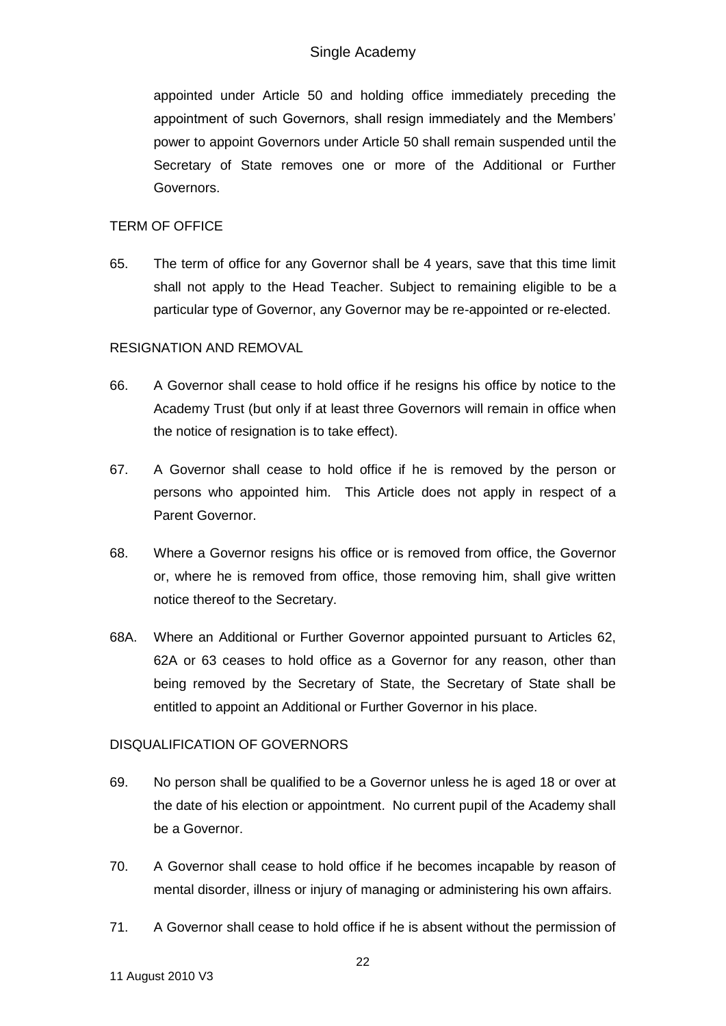appointed under Article 50 and holding office immediately preceding the appointment of such Governors, shall resign immediately and the Members' power to appoint Governors under Article 50 shall remain suspended until the Secretary of State removes one or more of the Additional or Further Governors.

## TERM OF OFFICE

65. The term of office for any Governor shall be 4 years, save that this time limit shall not apply to the Head Teacher. Subject to remaining eligible to be a particular type of Governor, any Governor may be re-appointed or re-elected.

## RESIGNATION AND REMOVAL

- 66. A Governor shall cease to hold office if he resigns his office by notice to the Academy Trust (but only if at least three Governors will remain in office when the notice of resignation is to take effect).
- 67. A Governor shall cease to hold office if he is removed by the person or persons who appointed him. This Article does not apply in respect of a Parent Governor.
- 68. Where a Governor resigns his office or is removed from office, the Governor or, where he is removed from office, those removing him, shall give written notice thereof to the Secretary.
- 68A. Where an Additional or Further Governor appointed pursuant to Articles 62, 62A or 63 ceases to hold office as a Governor for any reason, other than being removed by the Secretary of State, the Secretary of State shall be entitled to appoint an Additional or Further Governor in his place.

# DISQUALIFICATION OF GOVERNORS

- 69. No person shall be qualified to be a Governor unless he is aged 18 or over at the date of his election or appointment. No current pupil of the Academy shall be a Governor.
- 70. A Governor shall cease to hold office if he becomes incapable by reason of mental disorder, illness or injury of managing or administering his own affairs.
- 71. A Governor shall cease to hold office if he is absent without the permission of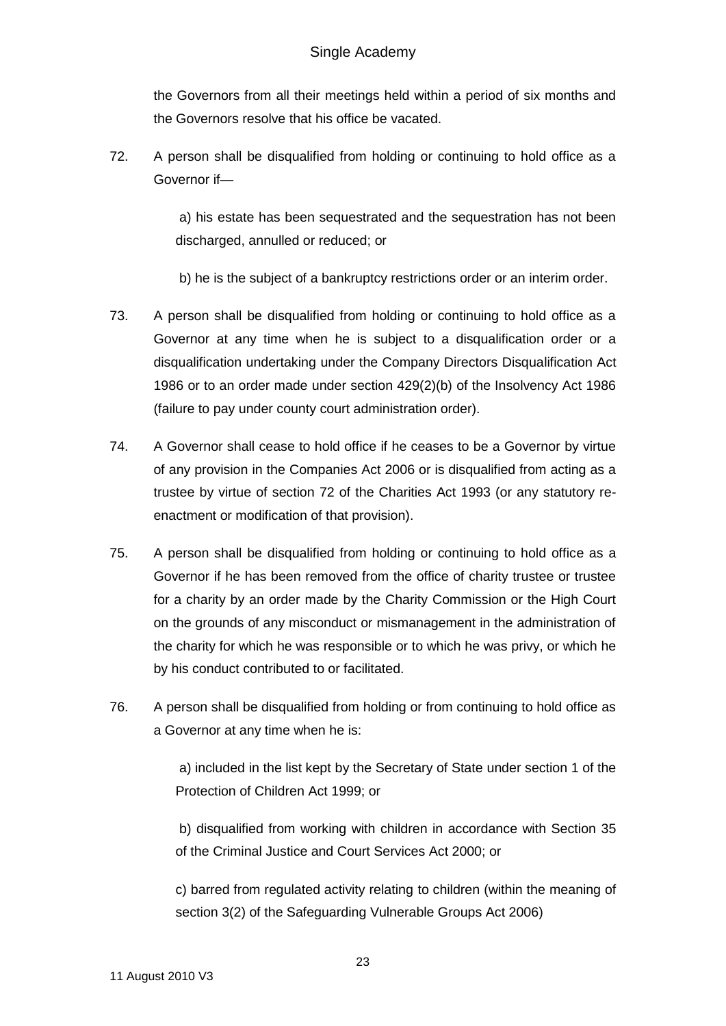the Governors from all their meetings held within a period of six months and the Governors resolve that his office be vacated.

72. A person shall be disqualified from holding or continuing to hold office as a Governor if—

> a) his estate has been sequestrated and the sequestration has not been discharged, annulled or reduced; or

b) he is the subject of a bankruptcy restrictions order or an interim order.

- 73. A person shall be disqualified from holding or continuing to hold office as a Governor at any time when he is subject to a disqualification order or a disqualification undertaking under the Company Directors Disqualification Act 1986 or to an order made under section 429(2)(b) of the Insolvency Act 1986 (failure to pay under county court administration order).
- 74. A Governor shall cease to hold office if he ceases to be a Governor by virtue of any provision in the Companies Act 2006 or is disqualified from acting as a trustee by virtue of section 72 of the Charities Act 1993 (or any statutory reenactment or modification of that provision).
- 75. A person shall be disqualified from holding or continuing to hold office as a Governor if he has been removed from the office of charity trustee or trustee for a charity by an order made by the Charity Commission or the High Court on the grounds of any misconduct or mismanagement in the administration of the charity for which he was responsible or to which he was privy, or which he by his conduct contributed to or facilitated.
- 76. A person shall be disqualified from holding or from continuing to hold office as a Governor at any time when he is:

a) included in the list kept by the Secretary of State under section 1 of the Protection of Children Act 1999; or

b) disqualified from working with children in accordance with Section 35 of the Criminal Justice and Court Services Act 2000; or

c) barred from regulated activity relating to children (within the meaning of section 3(2) of the Safeguarding Vulnerable Groups Act 2006)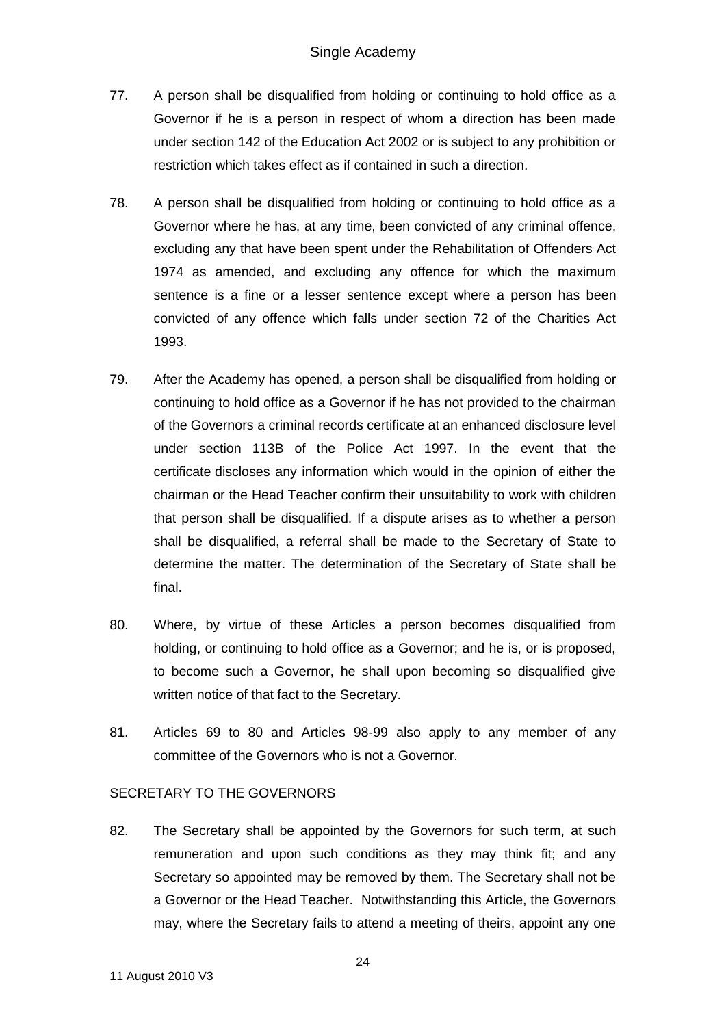- 77. A person shall be disqualified from holding or continuing to hold office as a Governor if he is a person in respect of whom a direction has been made under section 142 of the Education Act 2002 or is subject to any prohibition or restriction which takes effect as if contained in such a direction.
- 78. A person shall be disqualified from holding or continuing to hold office as a Governor where he has, at any time, been convicted of any criminal offence, excluding any that have been spent under the Rehabilitation of Offenders Act 1974 as amended, and excluding any offence for which the maximum sentence is a fine or a lesser sentence except where a person has been convicted of any offence which falls under section 72 of the Charities Act 1993.
- 79. After the Academy has opened, a person shall be disqualified from holding or continuing to hold office as a Governor if he has not provided to the chairman of the Governors a criminal records certificate at an enhanced disclosure level under section 113B of the Police Act 1997. In the event that the certificate discloses any information which would in the opinion of either the chairman or the Head Teacher confirm their unsuitability to work with children that person shall be disqualified. If a dispute arises as to whether a person shall be disqualified, a referral shall be made to the Secretary of State to determine the matter. The determination of the Secretary of State shall be final.
- 80. Where, by virtue of these Articles a person becomes disqualified from holding, or continuing to hold office as a Governor; and he is, or is proposed, to become such a Governor, he shall upon becoming so disqualified give written notice of that fact to the Secretary.
- 81. Articles 69 to 80 and Articles 98-99 also apply to any member of any committee of the Governors who is not a Governor.

## SECRETARY TO THE GOVERNORS

82. The Secretary shall be appointed by the Governors for such term, at such remuneration and upon such conditions as they may think fit; and any Secretary so appointed may be removed by them. The Secretary shall not be a Governor or the Head Teacher. Notwithstanding this Article, the Governors may, where the Secretary fails to attend a meeting of theirs, appoint any one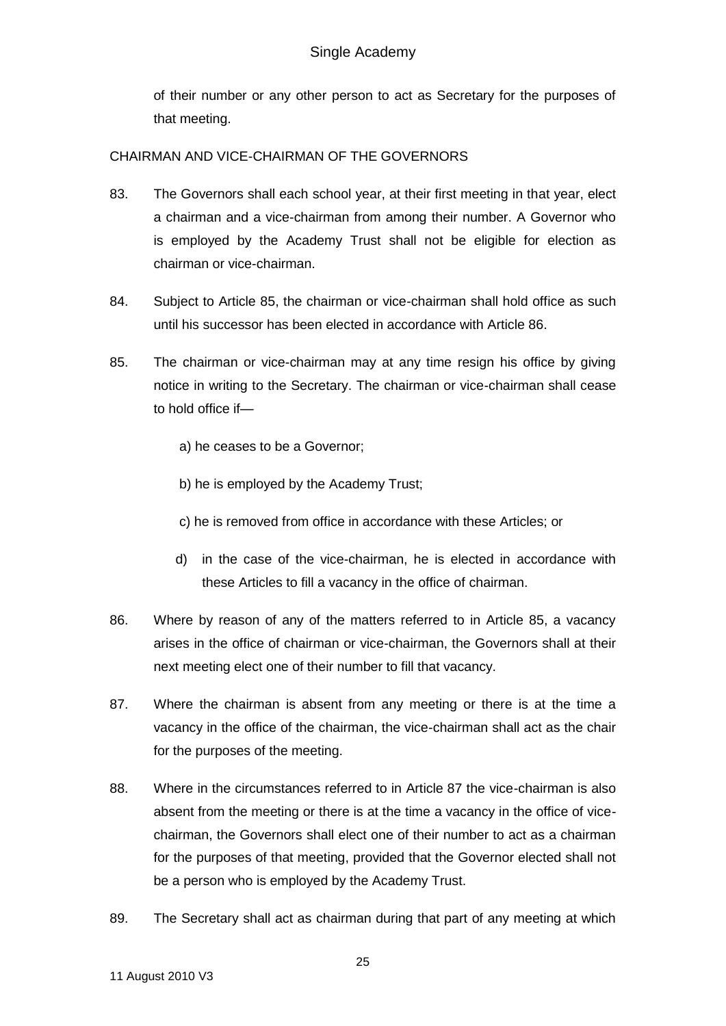of their number or any other person to act as Secretary for the purposes of that meeting.

## CHAIRMAN AND VICE-CHAIRMAN OF THE GOVERNORS

- 83. The Governors shall each school year, at their first meeting in that year, elect a chairman and a vice-chairman from among their number. A Governor who is employed by the Academy Trust shall not be eligible for election as chairman or vice-chairman.
- 84. Subject to Article 85, the chairman or vice-chairman shall hold office as such until his successor has been elected in accordance with Article 86.
- 85. The chairman or vice-chairman may at any time resign his office by giving notice in writing to the Secretary. The chairman or vice-chairman shall cease to hold office if
	- a) he ceases to be a Governor;
	- b) he is employed by the Academy Trust;
	- c) he is removed from office in accordance with these Articles; or
	- d) in the case of the vice-chairman, he is elected in accordance with these Articles to fill a vacancy in the office of chairman.
- 86. Where by reason of any of the matters referred to in Article 85, a vacancy arises in the office of chairman or vice-chairman, the Governors shall at their next meeting elect one of their number to fill that vacancy.
- 87. Where the chairman is absent from any meeting or there is at the time a vacancy in the office of the chairman, the vice-chairman shall act as the chair for the purposes of the meeting.
- 88. Where in the circumstances referred to in Article 87 the vice-chairman is also absent from the meeting or there is at the time a vacancy in the office of vicechairman, the Governors shall elect one of their number to act as a chairman for the purposes of that meeting, provided that the Governor elected shall not be a person who is employed by the Academy Trust.
- 89. The Secretary shall act as chairman during that part of any meeting at which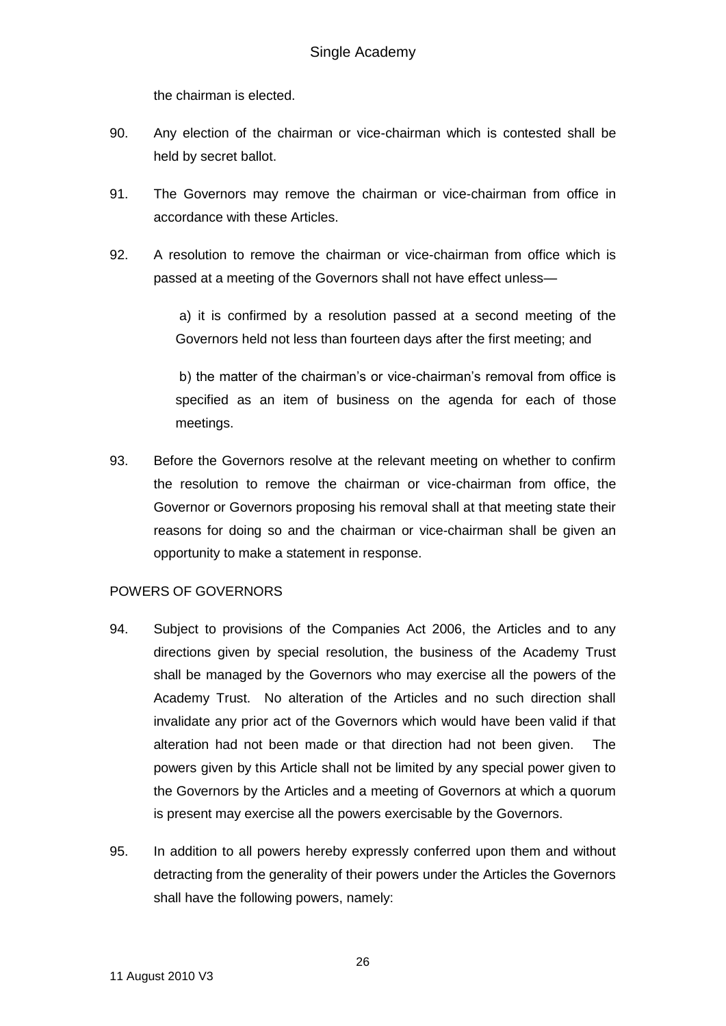the chairman is elected.

- 90. Any election of the chairman or vice-chairman which is contested shall be held by secret ballot.
- 91. The Governors may remove the chairman or vice-chairman from office in accordance with these Articles.
- 92. A resolution to remove the chairman or vice-chairman from office which is passed at a meeting of the Governors shall not have effect unless—

a) it is confirmed by a resolution passed at a second meeting of the Governors held not less than fourteen days after the first meeting; and

b) the matter of the chairman's or vice-chairman's removal from office is specified as an item of business on the agenda for each of those meetings.

93. Before the Governors resolve at the relevant meeting on whether to confirm the resolution to remove the chairman or vice-chairman from office, the Governor or Governors proposing his removal shall at that meeting state their reasons for doing so and the chairman or vice-chairman shall be given an opportunity to make a statement in response.

## POWERS OF GOVERNORS

- 94. Subject to provisions of the Companies Act 2006, the Articles and to any directions given by special resolution, the business of the Academy Trust shall be managed by the Governors who may exercise all the powers of the Academy Trust. No alteration of the Articles and no such direction shall invalidate any prior act of the Governors which would have been valid if that alteration had not been made or that direction had not been given. The powers given by this Article shall not be limited by any special power given to the Governors by the Articles and a meeting of Governors at which a quorum is present may exercise all the powers exercisable by the Governors.
- 95. In addition to all powers hereby expressly conferred upon them and without detracting from the generality of their powers under the Articles the Governors shall have the following powers, namely: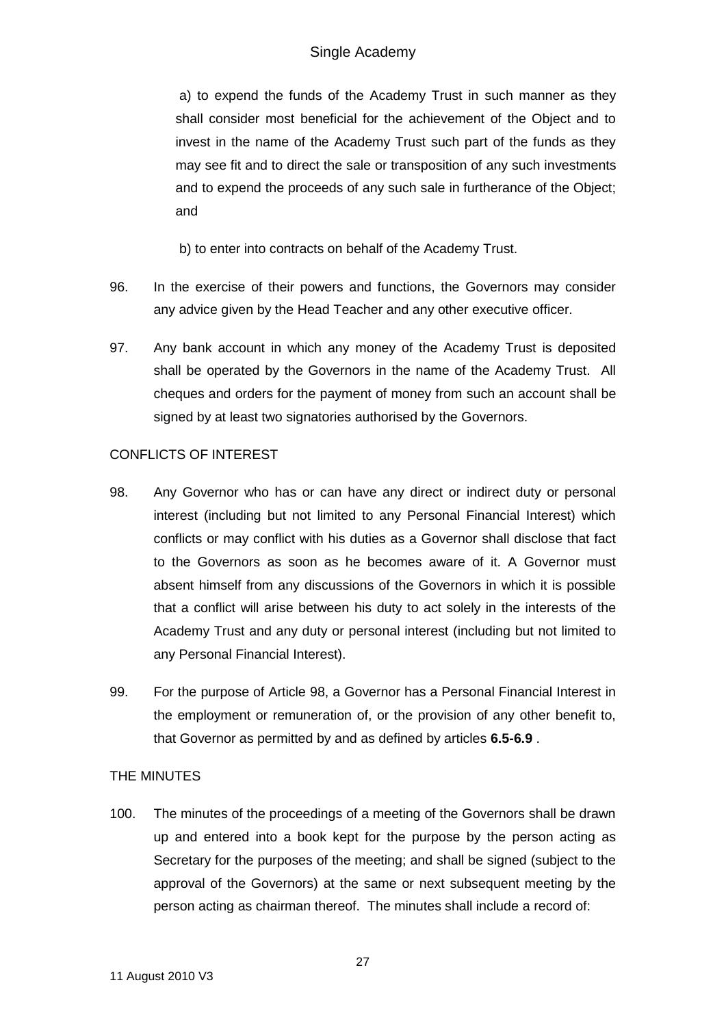a) to expend the funds of the Academy Trust in such manner as they shall consider most beneficial for the achievement of the Object and to invest in the name of the Academy Trust such part of the funds as they may see fit and to direct the sale or transposition of any such investments and to expend the proceeds of any such sale in furtherance of the Object; and

b) to enter into contracts on behalf of the Academy Trust.

- 96. In the exercise of their powers and functions, the Governors may consider any advice given by the Head Teacher and any other executive officer.
- 97. Any bank account in which any money of the Academy Trust is deposited shall be operated by the Governors in the name of the Academy Trust. All cheques and orders for the payment of money from such an account shall be signed by at least two signatories authorised by the Governors.

# CONFLICTS OF INTEREST

- 98. Any Governor who has or can have any direct or indirect duty or personal interest (including but not limited to any Personal Financial Interest) which conflicts or may conflict with his duties as a Governor shall disclose that fact to the Governors as soon as he becomes aware of it. A Governor must absent himself from any discussions of the Governors in which it is possible that a conflict will arise between his duty to act solely in the interests of the Academy Trust and any duty or personal interest (including but not limited to any Personal Financial Interest).
- 99. For the purpose of Article 98, a Governor has a Personal Financial Interest in the employment or remuneration of, or the provision of any other benefit to, that Governor as permitted by and as defined by articles **6.5-6.9** .

## THE MINUTES

100. The minutes of the proceedings of a meeting of the Governors shall be drawn up and entered into a book kept for the purpose by the person acting as Secretary for the purposes of the meeting; and shall be signed (subject to the approval of the Governors) at the same or next subsequent meeting by the person acting as chairman thereof. The minutes shall include a record of: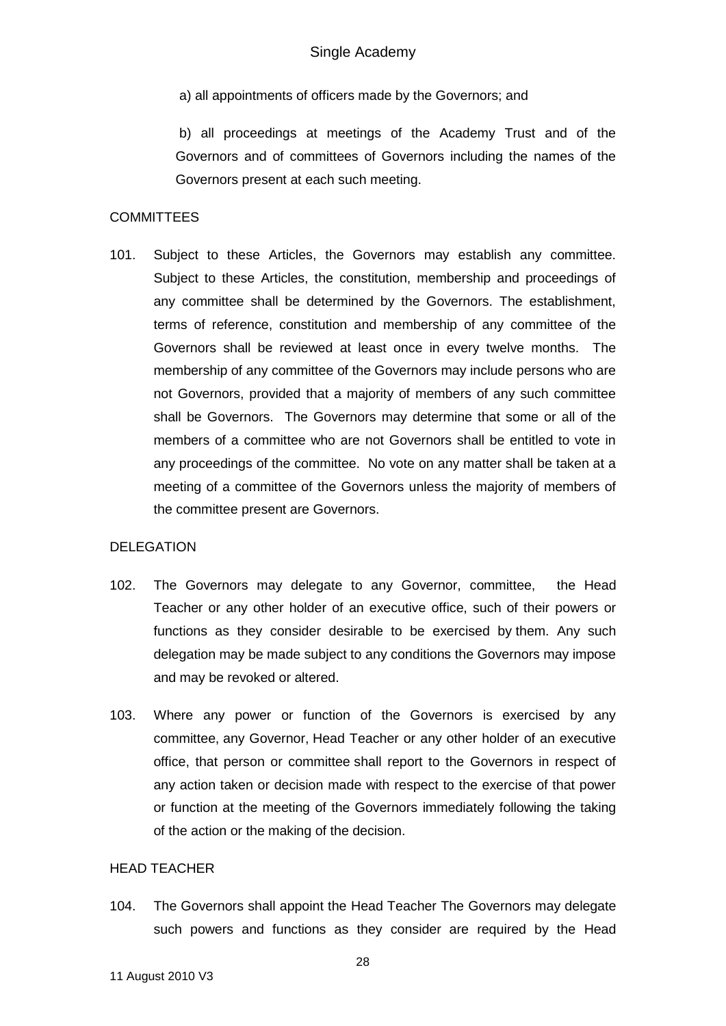a) all appointments of officers made by the Governors; and

b) all proceedings at meetings of the Academy Trust and of the Governors and of committees of Governors including the names of the Governors present at each such meeting.

### **COMMITTEES**

101. Subject to these Articles, the Governors may establish any committee. Subject to these Articles, the constitution, membership and proceedings of any committee shall be determined by the Governors. The establishment, terms of reference, constitution and membership of any committee of the Governors shall be reviewed at least once in every twelve months. The membership of any committee of the Governors may include persons who are not Governors, provided that a majority of members of any such committee shall be Governors. The Governors may determine that some or all of the members of a committee who are not Governors shall be entitled to vote in any proceedings of the committee. No vote on any matter shall be taken at a meeting of a committee of the Governors unless the majority of members of the committee present are Governors.

#### DELEGATION

- 102. The Governors may delegate to any Governor, committee, the Head Teacher or any other holder of an executive office, such of their powers or functions as they consider desirable to be exercised by them. Any such delegation may be made subject to any conditions the Governors may impose and may be revoked or altered.
- 103. Where any power or function of the Governors is exercised by any committee, any Governor, Head Teacher or any other holder of an executive office, that person or committee shall report to the Governors in respect of any action taken or decision made with respect to the exercise of that power or function at the meeting of the Governors immediately following the taking of the action or the making of the decision.

#### HEAD TEACHER

104. The Governors shall appoint the Head Teacher The Governors may delegate such powers and functions as they consider are required by the Head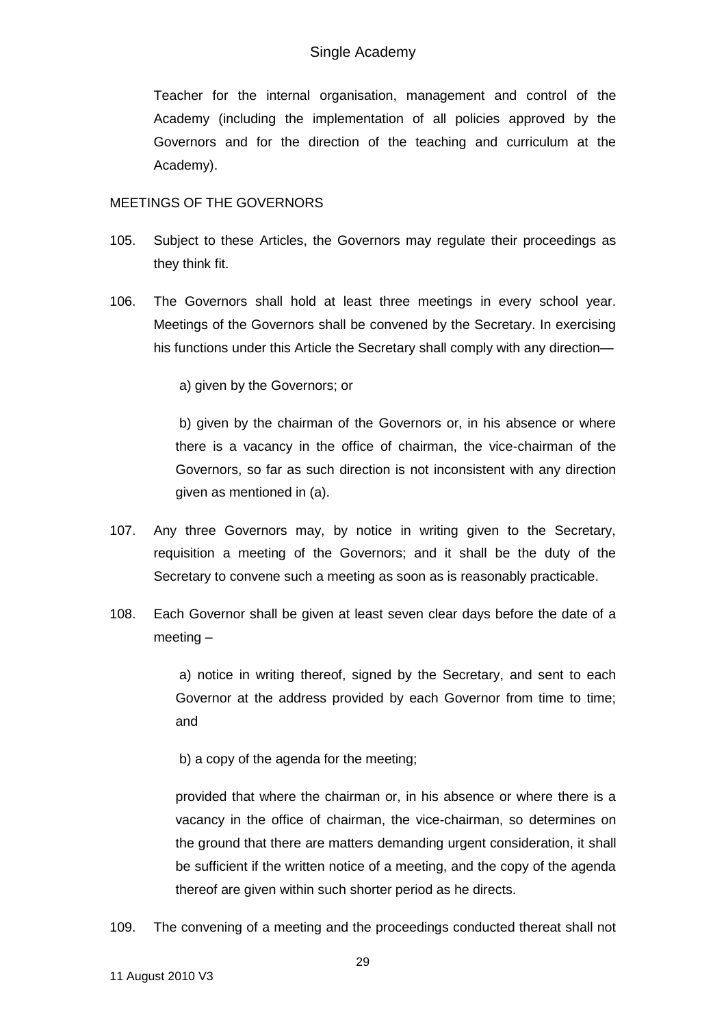Teacher for the internal organisation, management and control of the Academy (including the implementation of all policies approved by the Governors and for the direction of the teaching and curriculum at the Academy).

### MEETINGS OF THE GOVERNORS

- 105. Subject to these Articles, the Governors may regulate their proceedings as they think fit.
- 106. The Governors shall hold at least three meetings in every school year. Meetings of the Governors shall be convened by the Secretary. In exercising his functions under this Article the Secretary shall comply with any direction—

a) given by the Governors; or

b) given by the chairman of the Governors or, in his absence or where there is a vacancy in the office of chairman, the vice-chairman of the Governors, so far as such direction is not inconsistent with any direction given as mentioned in (a).

- 107. Any three Governors may, by notice in writing given to the Secretary, requisition a meeting of the Governors; and it shall be the duty of the Secretary to convene such a meeting as soon as is reasonably practicable.
- 108. Each Governor shall be given at least seven clear days before the date of a meeting –

a) notice in writing thereof, signed by the Secretary, and sent to each Governor at the address provided by each Governor from time to time; and

b) a copy of the agenda for the meeting;

provided that where the chairman or, in his absence or where there is a vacancy in the office of chairman, the vice-chairman, so determines on the ground that there are matters demanding urgent consideration, it shall be sufficient if the written notice of a meeting, and the copy of the agenda thereof are given within such shorter period as he directs.

109. The convening of a meeting and the proceedings conducted thereat shall not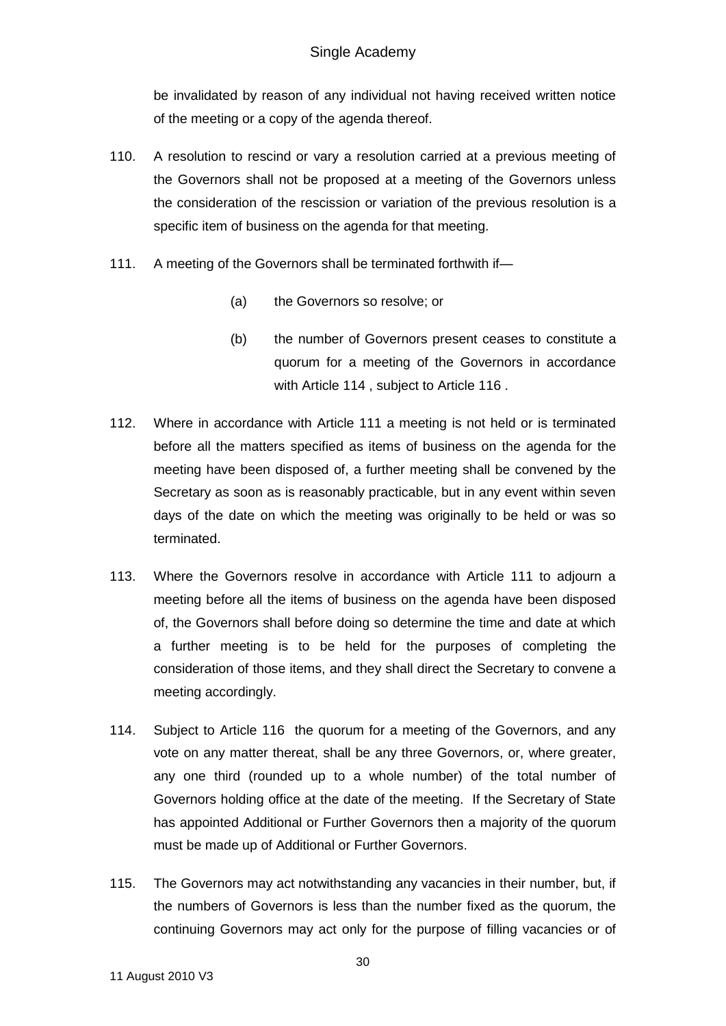be invalidated by reason of any individual not having received written notice of the meeting or a copy of the agenda thereof.

- 110. A resolution to rescind or vary a resolution carried at a previous meeting of the Governors shall not be proposed at a meeting of the Governors unless the consideration of the rescission or variation of the previous resolution is a specific item of business on the agenda for that meeting.
- 111. A meeting of the Governors shall be terminated forthwith if-
	- (a) the Governors so resolve; or
	- (b) the number of Governors present ceases to constitute a quorum for a meeting of the Governors in accordance with Article 114 , subject to Article 116 .
- 112. Where in accordance with Article 111 a meeting is not held or is terminated before all the matters specified as items of business on the agenda for the meeting have been disposed of, a further meeting shall be convened by the Secretary as soon as is reasonably practicable, but in any event within seven days of the date on which the meeting was originally to be held or was so terminated.
- 113. Where the Governors resolve in accordance with Article 111 to adjourn a meeting before all the items of business on the agenda have been disposed of, the Governors shall before doing so determine the time and date at which a further meeting is to be held for the purposes of completing the consideration of those items, and they shall direct the Secretary to convene a meeting accordingly.
- 114. Subject to Article 116 the quorum for a meeting of the Governors, and any vote on any matter thereat, shall be any three Governors, or, where greater, any one third (rounded up to a whole number) of the total number of Governors holding office at the date of the meeting. If the Secretary of State has appointed Additional or Further Governors then a majority of the quorum must be made up of Additional or Further Governors.
- 115. The Governors may act notwithstanding any vacancies in their number, but, if the numbers of Governors is less than the number fixed as the quorum, the continuing Governors may act only for the purpose of filling vacancies or of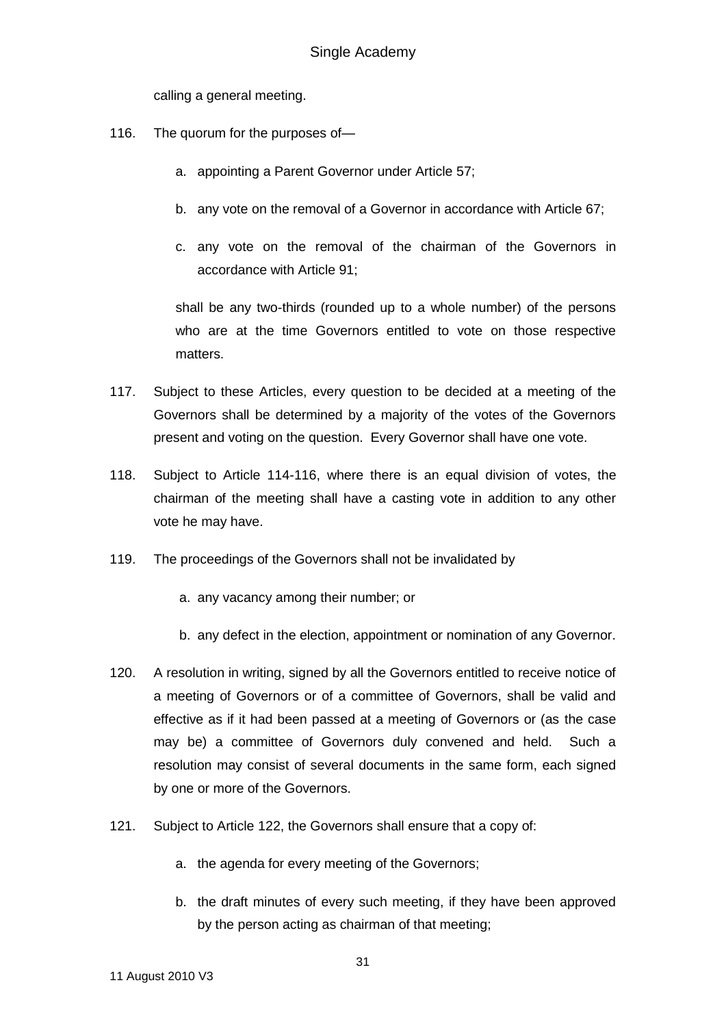calling a general meeting.

- 116. The quorum for the purposes of
	- a. appointing a Parent Governor under Article 57;
	- b. any vote on the removal of a Governor in accordance with Article 67;
	- c. any vote on the removal of the chairman of the Governors in accordance with Article 91;

shall be any two-thirds (rounded up to a whole number) of the persons who are at the time Governors entitled to vote on those respective matters.

- 117. Subject to these Articles, every question to be decided at a meeting of the Governors shall be determined by a majority of the votes of the Governors present and voting on the question. Every Governor shall have one vote.
- 118. Subject to Article 114-116, where there is an equal division of votes, the chairman of the meeting shall have a casting vote in addition to any other vote he may have.
- 119. The proceedings of the Governors shall not be invalidated by
	- a. any vacancy among their number; or
	- b. any defect in the election, appointment or nomination of any Governor.
- 120. A resolution in writing, signed by all the Governors entitled to receive notice of a meeting of Governors or of a committee of Governors, shall be valid and effective as if it had been passed at a meeting of Governors or (as the case may be) a committee of Governors duly convened and held. Such a resolution may consist of several documents in the same form, each signed by one or more of the Governors.
- 121. Subject to Article 122, the Governors shall ensure that a copy of:
	- a. the agenda for every meeting of the Governors;
	- b. the draft minutes of every such meeting, if they have been approved by the person acting as chairman of that meeting;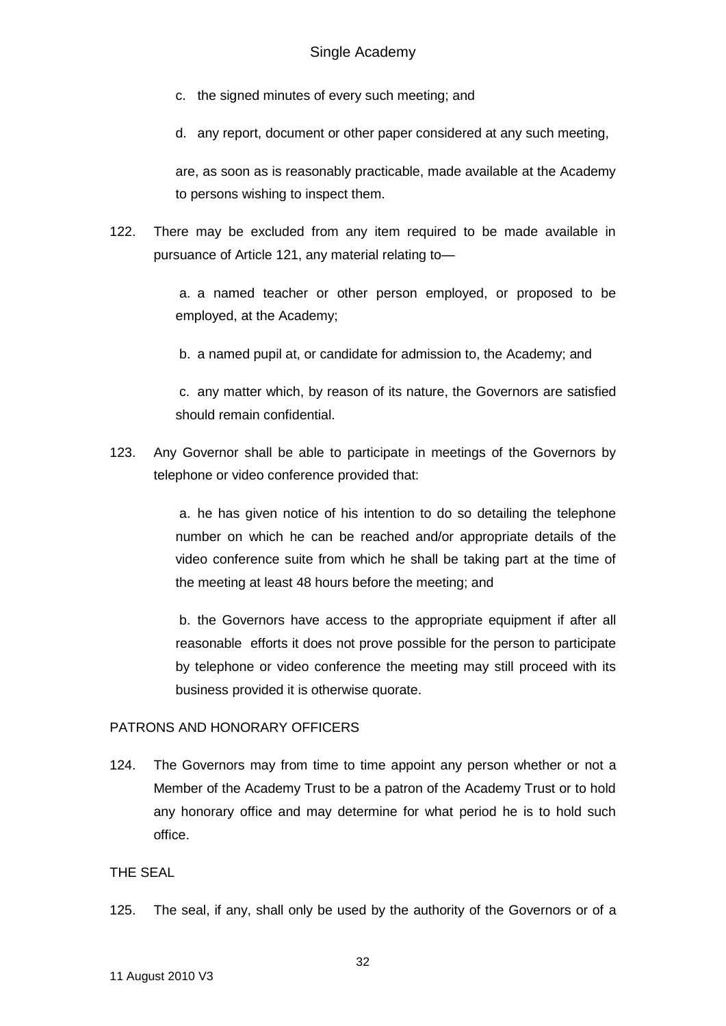- c. the signed minutes of every such meeting; and
- d. any report, document or other paper considered at any such meeting,

are, as soon as is reasonably practicable, made available at the Academy to persons wishing to inspect them.

122. There may be excluded from any item required to be made available in pursuance of Article 121, any material relating to—

> a. a named teacher or other person employed, or proposed to be employed, at the Academy;

b. a named pupil at, or candidate for admission to, the Academy; and

c. any matter which, by reason of its nature, the Governors are satisfied should remain confidential.

123. Any Governor shall be able to participate in meetings of the Governors by telephone or video conference provided that:

> a. he has given notice of his intention to do so detailing the telephone number on which he can be reached and/or appropriate details of the video conference suite from which he shall be taking part at the time of the meeting at least 48 hours before the meeting; and

> b. the Governors have access to the appropriate equipment if after all reasonable efforts it does not prove possible for the person to participate by telephone or video conference the meeting may still proceed with its business provided it is otherwise quorate.

## PATRONS AND HONORARY OFFICERS

124. The Governors may from time to time appoint any person whether or not a Member of the Academy Trust to be a patron of the Academy Trust or to hold any honorary office and may determine for what period he is to hold such office.

## THE SEAL

125. The seal, if any, shall only be used by the authority of the Governors or of a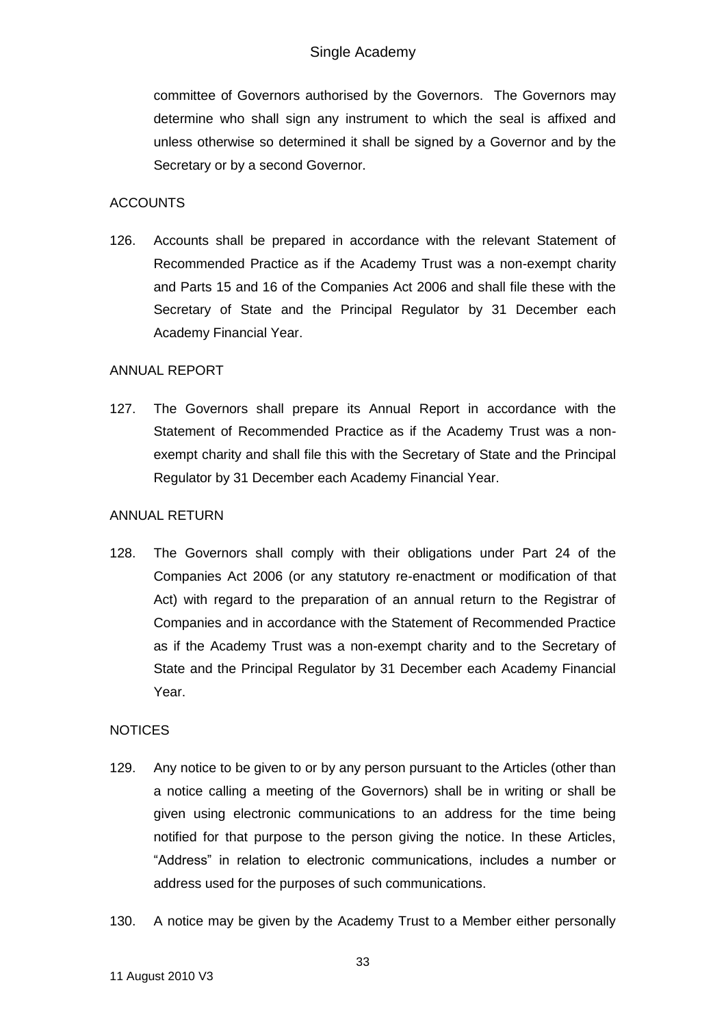committee of Governors authorised by the Governors. The Governors may determine who shall sign any instrument to which the seal is affixed and unless otherwise so determined it shall be signed by a Governor and by the Secretary or by a second Governor.

### ACCOUNTS

126. Accounts shall be prepared in accordance with the relevant Statement of Recommended Practice as if the Academy Trust was a non-exempt charity and Parts 15 and 16 of the Companies Act 2006 and shall file these with the Secretary of State and the Principal Regulator by 31 December each Academy Financial Year.

### ANNUAL REPORT

127. The Governors shall prepare its Annual Report in accordance with the Statement of Recommended Practice as if the Academy Trust was a nonexempt charity and shall file this with the Secretary of State and the Principal Regulator by 31 December each Academy Financial Year.

### ANNUAL RETURN

128. The Governors shall comply with their obligations under Part 24 of the Companies Act 2006 (or any statutory re-enactment or modification of that Act) with regard to the preparation of an annual return to the Registrar of Companies and in accordance with the Statement of Recommended Practice as if the Academy Trust was a non-exempt charity and to the Secretary of State and the Principal Regulator by 31 December each Academy Financial Year.

### **NOTICES**

- 129. Any notice to be given to or by any person pursuant to the Articles (other than a notice calling a meeting of the Governors) shall be in writing or shall be given using electronic communications to an address for the time being notified for that purpose to the person giving the notice. In these Articles, "Address" in relation to electronic communications, includes a number or address used for the purposes of such communications.
- 130. A notice may be given by the Academy Trust to a Member either personally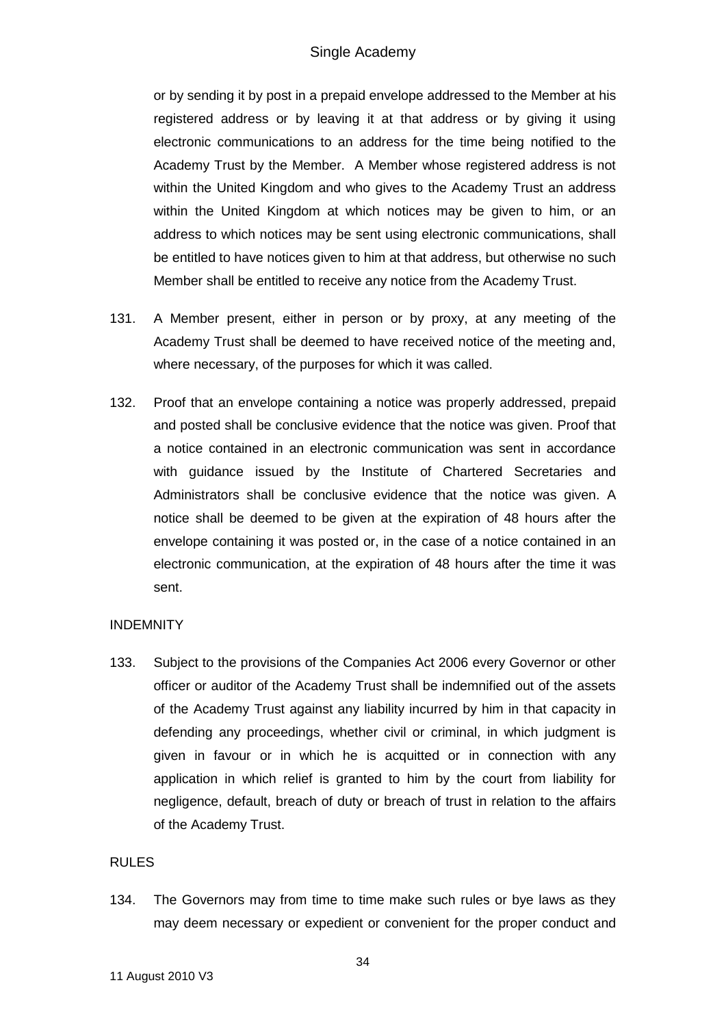or by sending it by post in a prepaid envelope addressed to the Member at his registered address or by leaving it at that address or by giving it using electronic communications to an address for the time being notified to the Academy Trust by the Member. A Member whose registered address is not within the United Kingdom and who gives to the Academy Trust an address within the United Kingdom at which notices may be given to him, or an address to which notices may be sent using electronic communications, shall be entitled to have notices given to him at that address, but otherwise no such Member shall be entitled to receive any notice from the Academy Trust.

- 131. A Member present, either in person or by proxy, at any meeting of the Academy Trust shall be deemed to have received notice of the meeting and, where necessary, of the purposes for which it was called.
- 132. Proof that an envelope containing a notice was properly addressed, prepaid and posted shall be conclusive evidence that the notice was given. Proof that a notice contained in an electronic communication was sent in accordance with guidance issued by the Institute of Chartered Secretaries and Administrators shall be conclusive evidence that the notice was given. A notice shall be deemed to be given at the expiration of 48 hours after the envelope containing it was posted or, in the case of a notice contained in an electronic communication, at the expiration of 48 hours after the time it was sent.

### INDEMNITY

133. Subject to the provisions of the Companies Act 2006 every Governor or other officer or auditor of the Academy Trust shall be indemnified out of the assets of the Academy Trust against any liability incurred by him in that capacity in defending any proceedings, whether civil or criminal, in which judgment is given in favour or in which he is acquitted or in connection with any application in which relief is granted to him by the court from liability for negligence, default, breach of duty or breach of trust in relation to the affairs of the Academy Trust.

### RULES

134. The Governors may from time to time make such rules or bye laws as they may deem necessary or expedient or convenient for the proper conduct and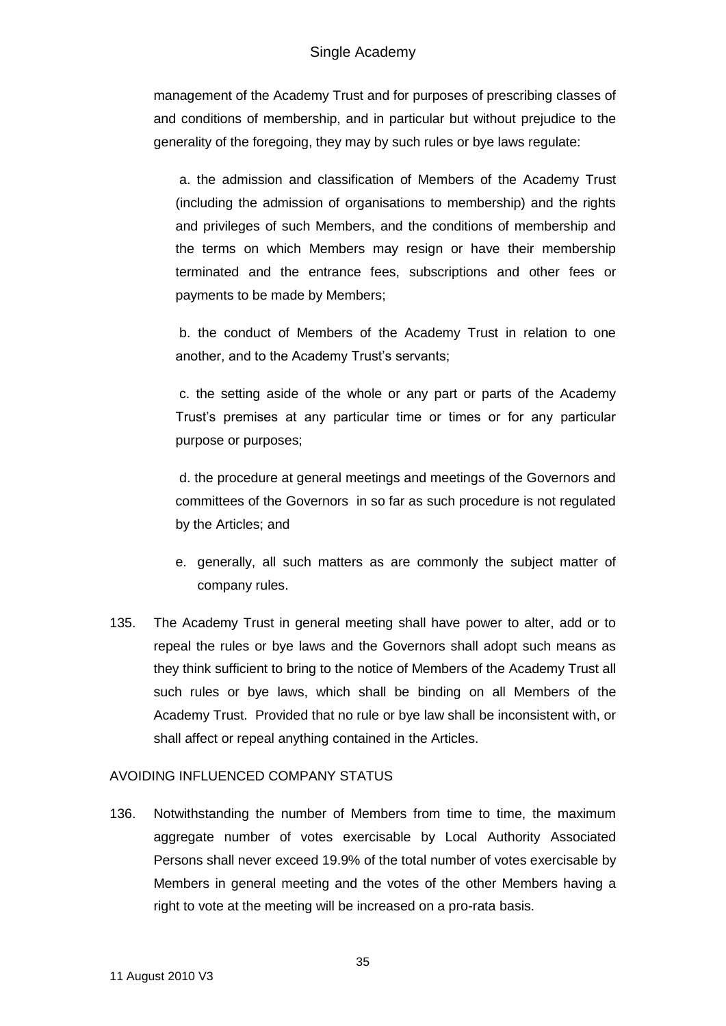## Single Academy

management of the Academy Trust and for purposes of prescribing classes of and conditions of membership, and in particular but without prejudice to the generality of the foregoing, they may by such rules or bye laws regulate:

a. the admission and classification of Members of the Academy Trust (including the admission of organisations to membership) and the rights and privileges of such Members, and the conditions of membership and the terms on which Members may resign or have their membership terminated and the entrance fees, subscriptions and other fees or payments to be made by Members;

b. the conduct of Members of the Academy Trust in relation to one another, and to the Academy Trust's servants;

c. the setting aside of the whole or any part or parts of the Academy Trust's premises at any particular time or times or for any particular purpose or purposes;

d. the procedure at general meetings and meetings of the Governors and committees of the Governors in so far as such procedure is not regulated by the Articles; and

- e. generally, all such matters as are commonly the subject matter of company rules.
- 135. The Academy Trust in general meeting shall have power to alter, add or to repeal the rules or bye laws and the Governors shall adopt such means as they think sufficient to bring to the notice of Members of the Academy Trust all such rules or bye laws, which shall be binding on all Members of the Academy Trust. Provided that no rule or bye law shall be inconsistent with, or shall affect or repeal anything contained in the Articles.

## AVOIDING INFLUENCED COMPANY STATUS

136. Notwithstanding the number of Members from time to time, the maximum aggregate number of votes exercisable by Local Authority Associated Persons shall never exceed 19.9% of the total number of votes exercisable by Members in general meeting and the votes of the other Members having a right to vote at the meeting will be increased on a pro-rata basis.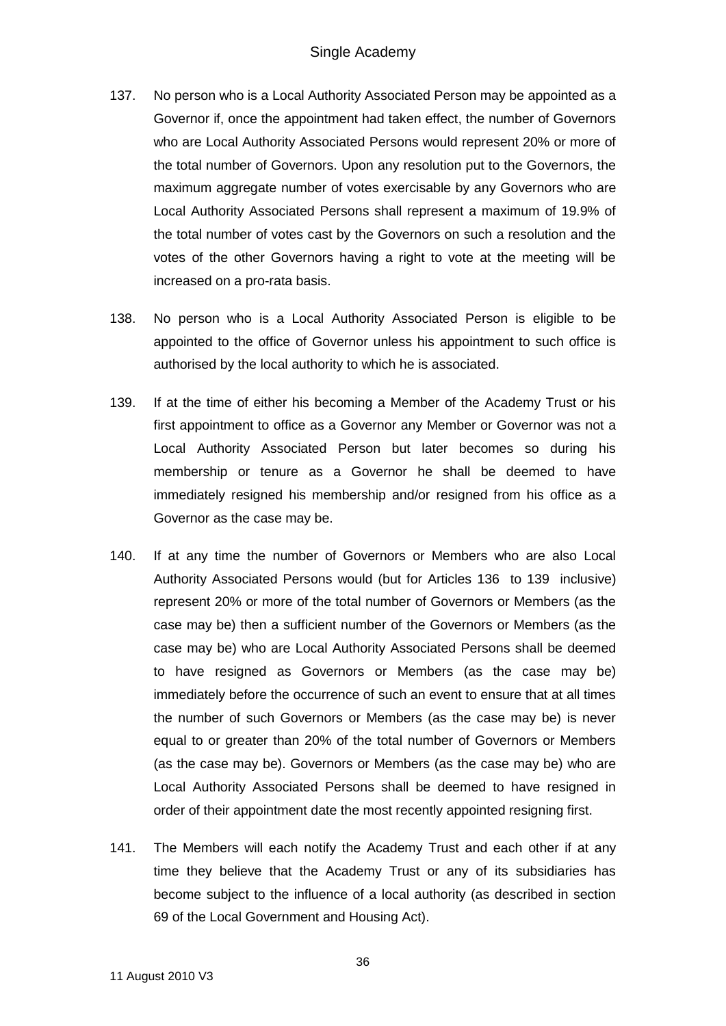- 137. No person who is a Local Authority Associated Person may be appointed as a Governor if, once the appointment had taken effect, the number of Governors who are Local Authority Associated Persons would represent 20% or more of the total number of Governors. Upon any resolution put to the Governors, the maximum aggregate number of votes exercisable by any Governors who are Local Authority Associated Persons shall represent a maximum of 19.9% of the total number of votes cast by the Governors on such a resolution and the votes of the other Governors having a right to vote at the meeting will be increased on a pro-rata basis.
- 138. No person who is a Local Authority Associated Person is eligible to be appointed to the office of Governor unless his appointment to such office is authorised by the local authority to which he is associated.
- 139. If at the time of either his becoming a Member of the Academy Trust or his first appointment to office as a Governor any Member or Governor was not a Local Authority Associated Person but later becomes so during his membership or tenure as a Governor he shall be deemed to have immediately resigned his membership and/or resigned from his office as a Governor as the case may be.
- 140. If at any time the number of Governors or Members who are also Local Authority Associated Persons would (but for Articles 136 to 139 inclusive) represent 20% or more of the total number of Governors or Members (as the case may be) then a sufficient number of the Governors or Members (as the case may be) who are Local Authority Associated Persons shall be deemed to have resigned as Governors or Members (as the case may be) immediately before the occurrence of such an event to ensure that at all times the number of such Governors or Members (as the case may be) is never equal to or greater than 20% of the total number of Governors or Members (as the case may be). Governors or Members (as the case may be) who are Local Authority Associated Persons shall be deemed to have resigned in order of their appointment date the most recently appointed resigning first.
- 141. The Members will each notify the Academy Trust and each other if at any time they believe that the Academy Trust or any of its subsidiaries has become subject to the influence of a local authority (as described in section 69 of the Local Government and Housing Act).